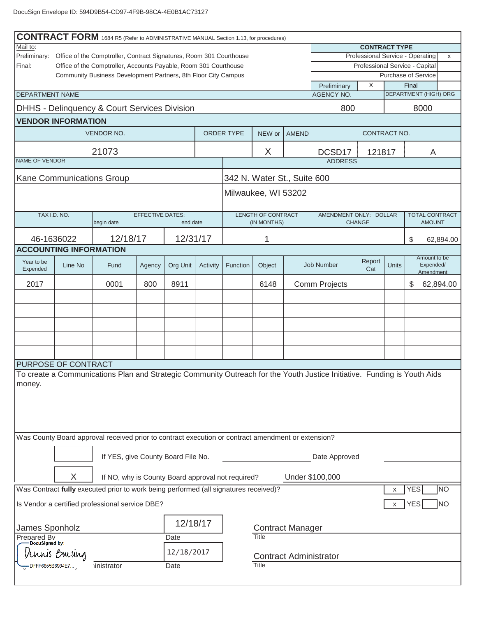| <b>CONTRACT FORM</b> 1684 R5 (Refer to ADMINISTRATIVE MANUAL Section 1.13, for procedures)<br>Mail to:<br><b>CONTRACT TYPE</b>                          |                                                                                                                      |                                                         |                         |          |               |          |                                   |  |                                                                    |               |       |                                        |           |
|---------------------------------------------------------------------------------------------------------------------------------------------------------|----------------------------------------------------------------------------------------------------------------------|---------------------------------------------------------|-------------------------|----------|---------------|----------|-----------------------------------|--|--------------------------------------------------------------------|---------------|-------|----------------------------------------|-----------|
| Preliminary:<br>Office of the Comptroller, Contract Signatures, Room 301 Courthouse<br>Office of the Comptroller, Accounts Payable, Room 301 Courthouse |                                                                                                                      |                                                         |                         |          |               |          |                                   |  | Professional Service - Operating<br>Professional Service - Capital |               |       |                                        | X         |
| Final:                                                                                                                                                  |                                                                                                                      |                                                         |                         |          |               |          |                                   |  |                                                                    |               |       |                                        |           |
|                                                                                                                                                         | Purchase of Service<br>Community Business Development Partners, 8th Floor City Campus<br>X<br>Final                  |                                                         |                         |          |               |          |                                   |  |                                                                    |               |       |                                        |           |
| <b>DEPARTMENT NAME</b>                                                                                                                                  |                                                                                                                      |                                                         |                         |          |               |          |                                   |  | Preliminary<br><b>AGENCY NO.</b>                                   |               |       | <b>DEPARTMENT (HIGH) ORG</b>           |           |
|                                                                                                                                                         |                                                                                                                      | <b>DHHS - Delinquency &amp; Court Services Division</b> |                         |          |               |          |                                   |  | 800                                                                |               |       | 8000                                   |           |
|                                                                                                                                                         | <b>VENDOR INFORMATION</b>                                                                                            |                                                         |                         |          |               |          |                                   |  |                                                                    |               |       |                                        |           |
|                                                                                                                                                         | ORDER TYPE<br>VENDOR NO.<br>NEW or<br><b>AMEND</b><br>CONTRACT NO.                                                   |                                                         |                         |          |               |          |                                   |  |                                                                    |               |       |                                        |           |
|                                                                                                                                                         |                                                                                                                      | 21073                                                   |                         |          |               |          | X                                 |  | DCSD17                                                             | 121817        |       | A                                      |           |
| <b>NAME OF VENDOR</b>                                                                                                                                   |                                                                                                                      |                                                         |                         |          |               |          |                                   |  | <b>ADDRESS</b>                                                     |               |       |                                        |           |
|                                                                                                                                                         |                                                                                                                      | Kane Communications Group                               |                         |          |               |          | 342 N. Water St., Suite 600       |  |                                                                    |               |       |                                        |           |
|                                                                                                                                                         |                                                                                                                      |                                                         |                         |          |               |          | Milwaukee, WI 53202               |  |                                                                    |               |       |                                        |           |
|                                                                                                                                                         |                                                                                                                      |                                                         |                         |          |               |          |                                   |  |                                                                    |               |       |                                        |           |
|                                                                                                                                                         | TAX I.D. NO.                                                                                                         | begin date                                              | <b>EFFECTIVE DATES:</b> | end date |               |          | LENGTH OF CONTRACT<br>(IN MONTHS) |  | AMENDMENT ONLY: DOLLAR                                             | <b>CHANGE</b> |       | <b>TOTAL CONTRACT</b><br><b>AMOUNT</b> |           |
|                                                                                                                                                         |                                                                                                                      |                                                         |                         |          |               |          |                                   |  |                                                                    |               |       |                                        |           |
|                                                                                                                                                         | 46-1636022<br><b>ACCOUNTING INFORMATION</b>                                                                          | 12/18/17                                                |                         | 12/31/17 |               |          | 1                                 |  |                                                                    |               |       | \$                                     | 62,894.00 |
|                                                                                                                                                         |                                                                                                                      |                                                         |                         |          |               |          |                                   |  |                                                                    |               |       | Amount to be                           |           |
| Year to be<br>Expended                                                                                                                                  | Line No                                                                                                              | Fund                                                    | Agency                  | Org Unit | Activity      | Function | Object                            |  | Job Number                                                         | Report<br>Cat | Units | Expended/<br>Amendment                 |           |
| 2017                                                                                                                                                    |                                                                                                                      | 0001                                                    | 800                     | 8911     |               |          | 6148                              |  | Comm Projects                                                      |               |       | \$                                     | 62,894.00 |
|                                                                                                                                                         |                                                                                                                      |                                                         |                         |          |               |          |                                   |  |                                                                    |               |       |                                        |           |
|                                                                                                                                                         |                                                                                                                      |                                                         |                         |          |               |          |                                   |  |                                                                    |               |       |                                        |           |
|                                                                                                                                                         |                                                                                                                      |                                                         |                         |          |               |          |                                   |  |                                                                    |               |       |                                        |           |
|                                                                                                                                                         |                                                                                                                      |                                                         |                         |          |               |          |                                   |  |                                                                    |               |       |                                        |           |
|                                                                                                                                                         |                                                                                                                      |                                                         |                         |          |               |          |                                   |  |                                                                    |               |       |                                        |           |
|                                                                                                                                                         |                                                                                                                      |                                                         |                         |          |               |          |                                   |  |                                                                    |               |       |                                        |           |
|                                                                                                                                                         | PURPOSE OF CONTRACT                                                                                                  |                                                         |                         |          |               |          |                                   |  |                                                                    |               |       |                                        |           |
| To create a Communications Plan and Strategic Community Outreach for the Youth Justice Initiative. Funding is Youth Aids                                |                                                                                                                      |                                                         |                         |          |               |          |                                   |  |                                                                    |               |       |                                        |           |
| money.                                                                                                                                                  |                                                                                                                      |                                                         |                         |          |               |          |                                   |  |                                                                    |               |       |                                        |           |
|                                                                                                                                                         |                                                                                                                      |                                                         |                         |          |               |          |                                   |  |                                                                    |               |       |                                        |           |
|                                                                                                                                                         |                                                                                                                      |                                                         |                         |          |               |          |                                   |  |                                                                    |               |       |                                        |           |
|                                                                                                                                                         |                                                                                                                      |                                                         |                         |          |               |          |                                   |  |                                                                    |               |       |                                        |           |
|                                                                                                                                                         |                                                                                                                      |                                                         |                         |          |               |          |                                   |  |                                                                    |               |       |                                        |           |
| Was County Board approval received prior to contract execution or contract amendment or extension?                                                      |                                                                                                                      |                                                         |                         |          |               |          |                                   |  |                                                                    |               |       |                                        |           |
| If YES, give County Board File No.                                                                                                                      |                                                                                                                      |                                                         |                         |          | Date Approved |          |                                   |  |                                                                    |               |       |                                        |           |
|                                                                                                                                                         | X<br>Under \$100,000<br>If NO, why is County Board approval not required?                                            |                                                         |                         |          |               |          |                                   |  |                                                                    |               |       |                                        |           |
|                                                                                                                                                         | <b>NO</b><br>Was Contract fully executed prior to work being performed (all signatures received)?<br><b>YES</b><br>X |                                                         |                         |          |               |          |                                   |  |                                                                    |               |       |                                        |           |
| Is Vendor a certified professional service DBE?<br>NO<br>X<br><b>YES</b>                                                                                |                                                                                                                      |                                                         |                         |          |               |          |                                   |  |                                                                    |               |       |                                        |           |
| 12/18/17                                                                                                                                                |                                                                                                                      |                                                         |                         |          |               |          |                                   |  |                                                                    |               |       |                                        |           |
|                                                                                                                                                         | James Sponholz<br><b>Contract Manager</b><br>Title                                                                   |                                                         |                         |          |               |          |                                   |  |                                                                    |               |       |                                        |           |
|                                                                                                                                                         | Prepared By<br>Date<br>-DocuSigned by:                                                                               |                                                         |                         |          |               |          |                                   |  |                                                                    |               |       |                                        |           |
|                                                                                                                                                         | 12/18/2017<br>uus Busiug<br><b>Contract Administrator</b>                                                            |                                                         |                         |          |               |          |                                   |  |                                                                    |               |       |                                        |           |
|                                                                                                                                                         | Title<br>inistrator<br>Date<br>DFFF6855B6934E7                                                                       |                                                         |                         |          |               |          |                                   |  |                                                                    |               |       |                                        |           |
|                                                                                                                                                         |                                                                                                                      |                                                         |                         |          |               |          |                                   |  |                                                                    |               |       |                                        |           |

ı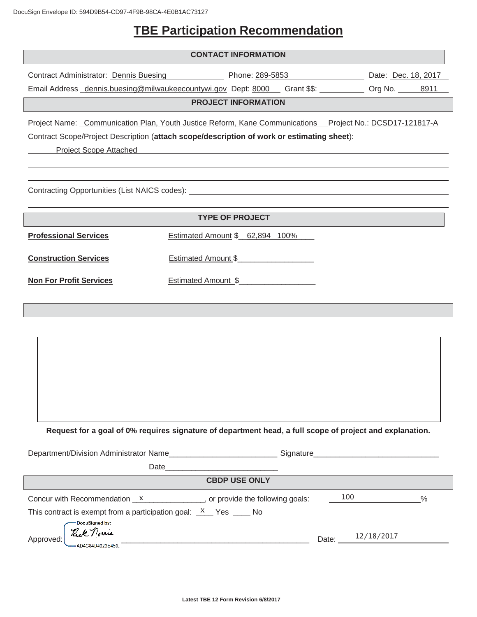# **TBE Participation Recommendation**

|                                                                                                                                                                                                                                                                                                       | <b>CONTACT INFORMATION</b>                                                                     |                                        |  |  |  |
|-------------------------------------------------------------------------------------------------------------------------------------------------------------------------------------------------------------------------------------------------------------------------------------------------------|------------------------------------------------------------------------------------------------|----------------------------------------|--|--|--|
|                                                                                                                                                                                                                                                                                                       | Contract Administrator: Dennis Buesing Phone: 289-5853                                         | Date: Dec. 18, 2017                    |  |  |  |
|                                                                                                                                                                                                                                                                                                       | Email Address dennis.buesing@milwaukeecountywi.gov Dept: 8000 Grant \$\$: 0rg No. 0rg No. 3911 |                                        |  |  |  |
|                                                                                                                                                                                                                                                                                                       | <b>PROJECT INFORMATION</b>                                                                     |                                        |  |  |  |
| Project Name: Communication Plan, Youth Justice Reform, Kane Communications Project No.: DCSD17-121817-A<br>Contract Scope/Project Description (attach scope/description of work or estimating sheet):<br><b>Project Scope Attached</b><br><u> 1980 - John Stein, Amerikaansk politiker (</u> † 1920) |                                                                                                |                                        |  |  |  |
|                                                                                                                                                                                                                                                                                                       | Contracting Opportunities (List NAICS codes): ___________________________________              |                                        |  |  |  |
|                                                                                                                                                                                                                                                                                                       | <b>TYPE OF PROJECT</b>                                                                         |                                        |  |  |  |
| <b>Professional Services</b>                                                                                                                                                                                                                                                                          | Estimated Amount \$ 62,894 100%                                                                |                                        |  |  |  |
| <b>Construction Services</b>                                                                                                                                                                                                                                                                          | Estimated Amount \$                                                                            |                                        |  |  |  |
| <b>Non For Profit Services</b>                                                                                                                                                                                                                                                                        | Estimated Amount \$                                                                            |                                        |  |  |  |
|                                                                                                                                                                                                                                                                                                       |                                                                                                |                                        |  |  |  |
| Request for a goal of 0% requires signature of department head, a full scope of project and explanation.                                                                                                                                                                                              |                                                                                                |                                        |  |  |  |
| Department/Division Administrator Name______________________________Signature_________________________________                                                                                                                                                                                        |                                                                                                |                                        |  |  |  |
| <b>EXAMPLE CBDP USE ONLY</b>                                                                                                                                                                                                                                                                          |                                                                                                |                                        |  |  |  |
| This contract is exempt from a participation goal: $X$ Yes ___ No<br>DocuSigned by:<br>Rick norme<br>Approved:                                                                                                                                                                                        | Concur with Recommendation $x$ ____________, or provide the following goals:                   | 100<br>%<br>Date: $\frac{12}{18/2017}$ |  |  |  |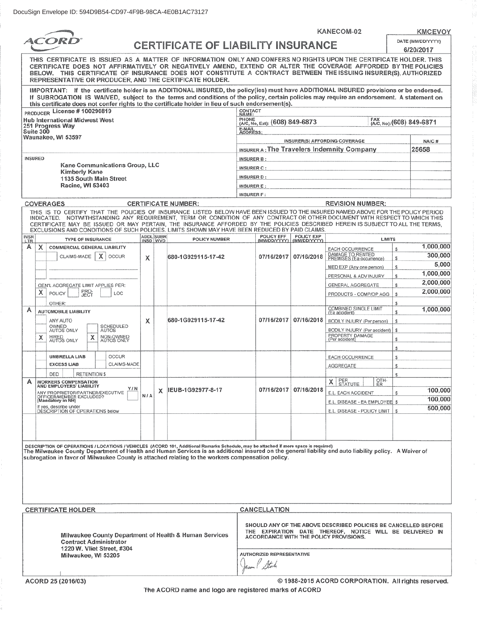KANECOM-02

**KMCEVOY** 

| <i>ACORD</i>                              |                                                                                                                                                                                                                                                                                                                                                                                         | <b>CERTIFICATE OF LIABILITY INSURANCE</b>                                                                                                                                                                                                                                                                                                                      |                                                                                                                                 |                                      |                            |                                                                                                                            | DATE (MM/DD/YYYY)              |                            |                                                                   |               |                               |
|-------------------------------------------|-----------------------------------------------------------------------------------------------------------------------------------------------------------------------------------------------------------------------------------------------------------------------------------------------------------------------------------------------------------------------------------------|----------------------------------------------------------------------------------------------------------------------------------------------------------------------------------------------------------------------------------------------------------------------------------------------------------------------------------------------------------------|---------------------------------------------------------------------------------------------------------------------------------|--------------------------------------|----------------------------|----------------------------------------------------------------------------------------------------------------------------|--------------------------------|----------------------------|-------------------------------------------------------------------|---------------|-------------------------------|
|                                           |                                                                                                                                                                                                                                                                                                                                                                                         |                                                                                                                                                                                                                                                                                                                                                                | 6/20/2017<br>THIS CERTIFICATE IS ISSUED AS A MATTER OF INFORMATION ONLY AND CONFERS NO RIGHTS UPON THE CERTIFICATE HOLDER. THIS |                                      |                            |                                                                                                                            |                                |                            |                                                                   |               |                               |
|                                           | CERTIFICATE DOES NOT AFFIRMATIVELY OR NEGATIVELY AMEND, EXTEND OR ALTER THE COVERAGE AFFORDED BY THE POLICIES<br>BELOW. THIS CERTIFICATE OF INSURANCE DOES NOT CONSTITUTE A CONTRACT BETWEEN THE ISSUING INSURER(S), AUTHORIZED<br>REPRESENTATIVE OR PRODUCER, AND THE CERTIFICATE HOLDER.                                                                                              |                                                                                                                                                                                                                                                                                                                                                                |                                                                                                                                 |                                      |                            |                                                                                                                            |                                |                            |                                                                   |               |                               |
|                                           | IMPORTANT: If the certificate holder is an ADDITIONAL INSURED, the policy(ies) must have ADDITIONAL INSURED provisions or be endorsed.<br>If SUBROGATION IS WAIVED, subject to the terms and conditions of the policy, certain policies may require an endorsement. A statement on<br>this certificate does not confer rights to the certificate holder in lieu of such endorsement(s). |                                                                                                                                                                                                                                                                                                                                                                |                                                                                                                                 |                                      |                            |                                                                                                                            |                                |                            |                                                                   |               |                               |
|                                           |                                                                                                                                                                                                                                                                                                                                                                                         | PRODUCER LICENSE #100290819                                                                                                                                                                                                                                                                                                                                    |                                                                                                                                 |                                      |                            | CONTACT<br>NAME:                                                                                                           |                                |                            |                                                                   |               |                               |
|                                           |                                                                                                                                                                                                                                                                                                                                                                                         | <b>Hub International Midwest West</b>                                                                                                                                                                                                                                                                                                                          |                                                                                                                                 |                                      |                            | PHONE                                                                                                                      | (A/C, No, Ext): (608) 849-6873 |                            |                                                                   |               | FAX (A/C, No): (608) 849-6871 |
|                                           | Suite 300                                                                                                                                                                                                                                                                                                                                                                               | 251 Progress Way                                                                                                                                                                                                                                                                                                                                               |                                                                                                                                 |                                      |                            | E-MAIL<br>ADDRESS:                                                                                                         |                                |                            |                                                                   |               |                               |
|                                           |                                                                                                                                                                                                                                                                                                                                                                                         | Waunakee, WI 53597                                                                                                                                                                                                                                                                                                                                             |                                                                                                                                 |                                      |                            |                                                                                                                            |                                |                            | INSURER(S) AFFORDING COVERAGE                                     |               | NAIC#                         |
|                                           |                                                                                                                                                                                                                                                                                                                                                                                         |                                                                                                                                                                                                                                                                                                                                                                |                                                                                                                                 |                                      |                            |                                                                                                                            |                                |                            | <b>INSURER A: The Travelers Indemnity Company</b>                 |               | 25658                         |
|                                           | INSURED                                                                                                                                                                                                                                                                                                                                                                                 |                                                                                                                                                                                                                                                                                                                                                                |                                                                                                                                 |                                      |                            | <b>INSURER B:</b>                                                                                                          |                                |                            |                                                                   |               |                               |
|                                           |                                                                                                                                                                                                                                                                                                                                                                                         | Kane Communications Group, LLC<br><b>Kimberly Kane</b>                                                                                                                                                                                                                                                                                                         |                                                                                                                                 |                                      |                            | <b>INSURER C:</b>                                                                                                          |                                |                            |                                                                   |               |                               |
|                                           |                                                                                                                                                                                                                                                                                                                                                                                         | 1135 South Main Street                                                                                                                                                                                                                                                                                                                                         |                                                                                                                                 |                                      |                            | <b>INSURER D:</b>                                                                                                          |                                |                            |                                                                   |               |                               |
|                                           |                                                                                                                                                                                                                                                                                                                                                                                         | <b>Racine, WI 53403</b>                                                                                                                                                                                                                                                                                                                                        |                                                                                                                                 |                                      |                            | <b>INSURER E:</b>                                                                                                          |                                |                            |                                                                   |               |                               |
|                                           |                                                                                                                                                                                                                                                                                                                                                                                         |                                                                                                                                                                                                                                                                                                                                                                |                                                                                                                                 |                                      |                            | <b>INSURER F:</b>                                                                                                          |                                |                            |                                                                   |               |                               |
|                                           |                                                                                                                                                                                                                                                                                                                                                                                         | COVERAGES<br>THIS IS TO CERTIFY THAT THE POLICIES OF INSURANCE LISTED BELOW HAVE BEEN ISSUED TO THE INSURED NAMED ABOVE FOR THE POLICY PERIOD                                                                                                                                                                                                                  |                                                                                                                                 |                                      | <b>CERTIFICATE NUMBER:</b> |                                                                                                                            |                                |                            | <b>REVISION NUMBER:</b>                                           |               |                               |
|                                           |                                                                                                                                                                                                                                                                                                                                                                                         | INDICATED. NOTWITHSTANDING ANY REQUIREMENT, TERM OR CONDITION OF ANY CONTRACT OR OTHER DOCUMENT WITH RESPECT TO WHICH THIS<br>CERTIFICATE MAY BE ISSUED OR MAY PERTAIN, THE INSURANCE AFFORDED BY THE POLICIES DESCRIBED HEREIN IS SUBJECT TO ALL THE TERMS.<br>EXCLUSIONS AND CONDITIONS OF SUCH POLICIES. LIMITS SHOWN MAY HAVE BEEN REDUCED BY PAID CLAIMS. |                                                                                                                                 |                                      |                            |                                                                                                                            |                                |                            |                                                                   |               |                               |
| INSR<br>LTR                               |                                                                                                                                                                                                                                                                                                                                                                                         | TYPE OF INSURANCE                                                                                                                                                                                                                                                                                                                                              |                                                                                                                                 | ADDL SUBR                            | POLICY NUMBER              |                                                                                                                            | POLICY EFF<br>(MM/DD/YYYY)     | POLICY EXP<br>(MM/DD/YYYY) |                                                                   | <b>LIMITS</b> |                               |
| A                                         | x                                                                                                                                                                                                                                                                                                                                                                                       | COMMERCIAL GENERAL LIABILITY                                                                                                                                                                                                                                                                                                                                   |                                                                                                                                 |                                      |                            |                                                                                                                            |                                |                            | EACH OCCURRENCE                                                   | s             | 1,000,000                     |
|                                           |                                                                                                                                                                                                                                                                                                                                                                                         | CLAIMS-MADE<br>x<br><b>OCCUR</b>                                                                                                                                                                                                                                                                                                                               | х                                                                                                                               |                                      | 680-1G929115-17-42         |                                                                                                                            | 07/16/2017                     | 07/16/2018                 | DAMAGE TO RENTED<br>PREMISES (Ea occurrence)                      | s             | 300.000                       |
|                                           |                                                                                                                                                                                                                                                                                                                                                                                         |                                                                                                                                                                                                                                                                                                                                                                |                                                                                                                                 |                                      |                            |                                                                                                                            |                                |                            | MED EXP (Any one person)                                          | s             | 5,000                         |
|                                           |                                                                                                                                                                                                                                                                                                                                                                                         |                                                                                                                                                                                                                                                                                                                                                                |                                                                                                                                 |                                      |                            |                                                                                                                            |                                |                            | PERSONAL & ADV INJURY                                             | s             | 1,000,000                     |
|                                           |                                                                                                                                                                                                                                                                                                                                                                                         | GEN'L AGGREGATE LIMIT APPLIES PER:                                                                                                                                                                                                                                                                                                                             |                                                                                                                                 |                                      |                            |                                                                                                                            |                                |                            | GENERAL AGGREGATE                                                 | s             | 2,000,000                     |
|                                           | х                                                                                                                                                                                                                                                                                                                                                                                       | <b>PRO-</b><br>JECT<br>LOC<br>POLICY                                                                                                                                                                                                                                                                                                                           |                                                                                                                                 |                                      |                            |                                                                                                                            |                                |                            | PRODUCTS - COMP/OP AGG                                            | s             | 2,000,000                     |
| A                                         |                                                                                                                                                                                                                                                                                                                                                                                         | OTHER:                                                                                                                                                                                                                                                                                                                                                         |                                                                                                                                 |                                      |                            |                                                                                                                            |                                |                            | <b>COMBINED SINGLE LIMIT</b>                                      | \$            | 1,000,000                     |
|                                           |                                                                                                                                                                                                                                                                                                                                                                                         | <b>AUTOMOBILE LIABILITY</b>                                                                                                                                                                                                                                                                                                                                    |                                                                                                                                 |                                      | 680-1G929115-17-42         |                                                                                                                            |                                | 07/16/2017 07/16/2018      | (Ea accident)                                                     | s             |                               |
|                                           | ANY AUTO<br>OWNED<br>AUTOS ONLY<br>SCHEDULED<br>AUTOS                                                                                                                                                                                                                                                                                                                                   |                                                                                                                                                                                                                                                                                                                                                                | х                                                                                                                               |                                      |                            |                                                                                                                            |                                |                            | BODILY INJURY (Per person)<br>BODILY INJURY (Per accident)        | \$<br>\$      |                               |
|                                           | х                                                                                                                                                                                                                                                                                                                                                                                       | NON-OWNED<br>AUTOS ONLY<br>HIRED<br>AUTOS ONLY<br>х                                                                                                                                                                                                                                                                                                            |                                                                                                                                 |                                      |                            |                                                                                                                            |                                |                            | PROPERTY DAMAGE<br>(Per accident)                                 | \$            |                               |
|                                           | \$                                                                                                                                                                                                                                                                                                                                                                                      |                                                                                                                                                                                                                                                                                                                                                                |                                                                                                                                 |                                      |                            |                                                                                                                            |                                |                            |                                                                   |               |                               |
|                                           |                                                                                                                                                                                                                                                                                                                                                                                         | <b>OCCUR</b><br><b>UMBRELLA LIAB</b>                                                                                                                                                                                                                                                                                                                           |                                                                                                                                 |                                      |                            |                                                                                                                            |                                |                            | EACH OCCURRENCE                                                   | \$            |                               |
|                                           |                                                                                                                                                                                                                                                                                                                                                                                         | CLAIMS-MADE<br><b>EXCESS LIAB</b>                                                                                                                                                                                                                                                                                                                              |                                                                                                                                 |                                      |                            |                                                                                                                            |                                |                            | AGGREGATE                                                         | \$            |                               |
|                                           |                                                                                                                                                                                                                                                                                                                                                                                         | DED<br><b>RETENTIONS</b>                                                                                                                                                                                                                                                                                                                                       |                                                                                                                                 |                                      |                            |                                                                                                                            |                                |                            | OTH-                                                              | S             |                               |
| A                                         |                                                                                                                                                                                                                                                                                                                                                                                         | <b>WORKERS COMPENSATION</b><br>AND EMPLOYERS' LIABILITY                                                                                                                                                                                                                                                                                                        | Y / N                                                                                                                           | IEUB-1G92977-8-17<br>x<br><b>N/A</b> |                            |                                                                                                                            |                                | 07/16/2017 07/16/2018      | PER<br>STATUTE<br>$\mathsf{X}$<br>ĒR.                             |               | 100,000                       |
|                                           |                                                                                                                                                                                                                                                                                                                                                                                         | ANY PROPRIETOR/PARTNER/EXECUTIVE<br>OFFICER/MEMBER EXCLUDED?<br>(Mandatory in NH)                                                                                                                                                                                                                                                                              |                                                                                                                                 |                                      |                            |                                                                                                                            |                                |                            | E.L. EACH ACCIDENT                                                | \$            | 100,000                       |
|                                           |                                                                                                                                                                                                                                                                                                                                                                                         | If yes, describe under<br>DESCRIPTION OF OPERATIONS below                                                                                                                                                                                                                                                                                                      |                                                                                                                                 |                                      |                            |                                                                                                                            |                                |                            | E.L. DISEASE - EA EMPLOYEE \$<br>E.L. DISEASE - POLICY LIMIT   \$ |               | 500,000                       |
|                                           |                                                                                                                                                                                                                                                                                                                                                                                         |                                                                                                                                                                                                                                                                                                                                                                |                                                                                                                                 |                                      |                            |                                                                                                                            |                                |                            |                                                                   |               |                               |
|                                           |                                                                                                                                                                                                                                                                                                                                                                                         |                                                                                                                                                                                                                                                                                                                                                                |                                                                                                                                 |                                      |                            |                                                                                                                            |                                |                            |                                                                   |               |                               |
|                                           |                                                                                                                                                                                                                                                                                                                                                                                         |                                                                                                                                                                                                                                                                                                                                                                |                                                                                                                                 |                                      |                            |                                                                                                                            |                                |                            |                                                                   |               |                               |
|                                           | DESCRIPTION OF OPERATIONS / LOCATIONS / VEHICLES (ACORD 101, Additional Remarks Schedule, may be attached if more space is required)<br>The Milwaukee County Department of Health and Human Services is an additional insured on<br>subrogation in favor of Milwaukee County is attached relating to the workers compensation policy.                                                   |                                                                                                                                                                                                                                                                                                                                                                |                                                                                                                                 |                                      |                            |                                                                                                                            |                                |                            |                                                                   |               |                               |
|                                           |                                                                                                                                                                                                                                                                                                                                                                                         |                                                                                                                                                                                                                                                                                                                                                                |                                                                                                                                 |                                      |                            |                                                                                                                            |                                |                            |                                                                   |               |                               |
|                                           |                                                                                                                                                                                                                                                                                                                                                                                         |                                                                                                                                                                                                                                                                                                                                                                |                                                                                                                                 |                                      |                            |                                                                                                                            |                                |                            |                                                                   |               |                               |
|                                           |                                                                                                                                                                                                                                                                                                                                                                                         |                                                                                                                                                                                                                                                                                                                                                                |                                                                                                                                 |                                      |                            |                                                                                                                            |                                |                            |                                                                   |               |                               |
|                                           |                                                                                                                                                                                                                                                                                                                                                                                         |                                                                                                                                                                                                                                                                                                                                                                |                                                                                                                                 |                                      |                            |                                                                                                                            |                                |                            |                                                                   |               |                               |
| CANCELLATION<br><b>CERTIFICATE HOLDER</b> |                                                                                                                                                                                                                                                                                                                                                                                         |                                                                                                                                                                                                                                                                                                                                                                |                                                                                                                                 |                                      |                            |                                                                                                                            |                                |                            |                                                                   |               |                               |
|                                           |                                                                                                                                                                                                                                                                                                                                                                                         |                                                                                                                                                                                                                                                                                                                                                                |                                                                                                                                 |                                      |                            |                                                                                                                            |                                |                            |                                                                   |               |                               |
|                                           |                                                                                                                                                                                                                                                                                                                                                                                         |                                                                                                                                                                                                                                                                                                                                                                |                                                                                                                                 |                                      |                            | SHOULD ANY OF THE ABOVE DESCRIBED POLICIES BE CANCELLED BEFORE<br>THE EXPIRATION DATE THEREOF, NOTICE WILL BE DELIVERED IN |                                |                            |                                                                   |               |                               |
|                                           |                                                                                                                                                                                                                                                                                                                                                                                         | Milwaukee County Department of Health & Human Services<br><b>Contract Administrator</b>                                                                                                                                                                                                                                                                        |                                                                                                                                 |                                      |                            |                                                                                                                            |                                |                            | <b>ACCORDANCE WITH THE POLICY PROVISIONS.</b>                     |               |                               |
|                                           | 1220 W. Vliet Street, #304                                                                                                                                                                                                                                                                                                                                                              |                                                                                                                                                                                                                                                                                                                                                                |                                                                                                                                 |                                      |                            |                                                                                                                            |                                |                            |                                                                   |               |                               |
|                                           | Milwaukee, WI 53205                                                                                                                                                                                                                                                                                                                                                                     |                                                                                                                                                                                                                                                                                                                                                                |                                                                                                                                 |                                      | AUTHORIZED REPRESENTATIVE  |                                                                                                                            |                                |                            |                                                                   |               |                               |
|                                           |                                                                                                                                                                                                                                                                                                                                                                                         |                                                                                                                                                                                                                                                                                                                                                                |                                                                                                                                 |                                      | Jacon State                |                                                                                                                            |                                |                            |                                                                   |               |                               |

@ 1988-2015 ACORD CORPORATION. All rights reserved.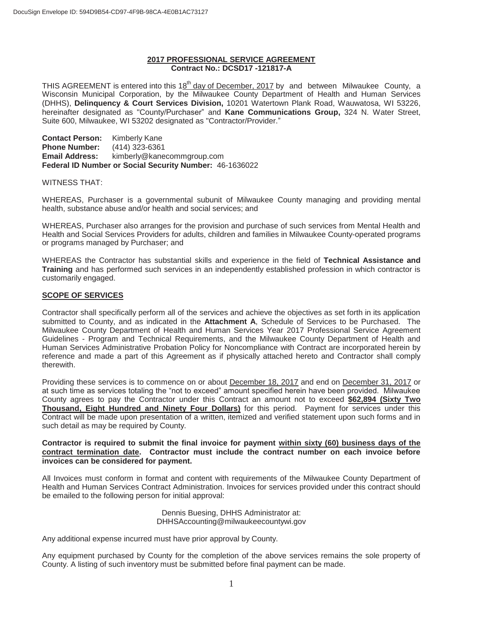#### **2017 PROFESSIONAL SERVICE AGREEMENT Contract No.: DCSD17 -121817-A**

THIS AGREEMENT is entered into this 18<sup>th</sup> day of December, 2017 by and between Milwaukee County, a Wisconsin Municipal Corporation, by the Milwaukee County Department of Health and Human Services (DHHS), **Delinquency & Court Services Division,** 10201 Watertown Plank Road, Wauwatosa, WI 53226, hereinafter designated as "County/Purchaser" and **Kane Communications Group,** 324 N. Water Street, Suite 600, Milwaukee, WI 53202 designated as "Contractor/Provider."

**Contact Person:** Kimberly Kane **Phone Number:** (414) 323-6361 **Email Address:** kimberly@kanecommgroup.com **Federal ID Number or Social Security Number:** 46-1636022

#### WITNESS THAT:

WHEREAS, Purchaser is a governmental subunit of Milwaukee County managing and providing mental health, substance abuse and/or health and social services; and

WHEREAS, Purchaser also arranges for the provision and purchase of such services from Mental Health and Health and Social Services Providers for adults, children and families in Milwaukee County-operated programs or programs managed by Purchaser; and

WHEREAS the Contractor has substantial skills and experience in the field of **Technical Assistance and Training** and has performed such services in an independently established profession in which contractor is customarily engaged.

#### **SCOPE OF SERVICES**

Contractor shall specifically perform all of the services and achieve the objectives as set forth in its application submitted to County, and as indicated in the **Attachment A**, Schedule of Services to be Purchased. The Milwaukee County Department of Health and Human Services Year 2017 Professional Service Agreement Guidelines - Program and Technical Requirements, and the Milwaukee County Department of Health and Human Services Administrative Probation Policy for Noncompliance with Contract are incorporated herein by reference and made a part of this Agreement as if physically attached hereto and Contractor shall comply therewith.

Providing these services is to commence on or about December 18, 2017 and end on December 31, 2017 or at such time as services totaling the "not to exceed" amount specified herein have been provided. Milwaukee County agrees to pay the Contractor under this Contract an amount not to exceed **\$62,894 (Sixty Two Thousand, Eight Hundred and Ninety Four Dollars)** for this period. Payment for services under this Contract will be made upon presentation of a written, itemized and verified statement upon such forms and in such detail as may be required by County.

#### **Contractor is required to submit the final invoice for payment within sixty (60) business days of the contract termination date. Contractor must include the contract number on each invoice before invoices can be considered for payment.**

All Invoices must conform in format and content with requirements of the Milwaukee County Department of Health and Human Services Contract Administration. Invoices for services provided under this contract should be emailed to the following person for initial approval:

> Dennis Buesing, DHHS Administrator at: DHHSAccounting@milwaukeecountywi.gov

Any additional expense incurred must have prior approval by County.

Any equipment purchased by County for the completion of the above services remains the sole property of County. A listing of such inventory must be submitted before final payment can be made.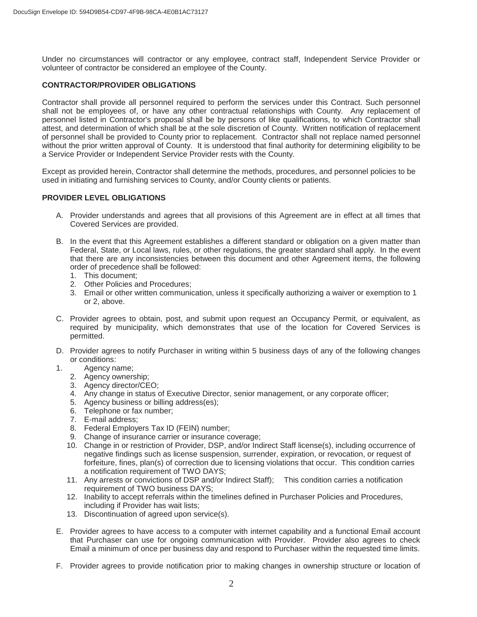Under no circumstances will contractor or any employee, contract staff, Independent Service Provider or volunteer of contractor be considered an employee of the County.

#### **CONTRACTOR/PROVIDER OBLIGATIONS**

Contractor shall provide all personnel required to perform the services under this Contract. Such personnel shall not be employees of, or have any other contractual relationships with County. Any replacement of personnel listed in Contractor's proposal shall be by persons of like qualifications, to which Contractor shall attest, and determination of which shall be at the sole discretion of County. Written notification of replacement of personnel shall be provided to County prior to replacement. Contractor shall not replace named personnel without the prior written approval of County. It is understood that final authority for determining eligibility to be a Service Provider or Independent Service Provider rests with the County.

Except as provided herein, Contractor shall determine the methods, procedures, and personnel policies to be used in initiating and furnishing services to County, and/or County clients or patients.

#### **PROVIDER LEVEL OBLIGATIONS**

- A. Provider understands and agrees that all provisions of this Agreement are in effect at all times that Covered Services are provided.
- B. In the event that this Agreement establishes a different standard or obligation on a given matter than Federal, State, or Local laws, rules, or other regulations, the greater standard shall apply. In the event that there are any inconsistencies between this document and other Agreement items, the following order of precedence shall be followed:
	- 1. This document;
	- 2. Other Policies and Procedures;
	- 3. Email or other written communication, unless it specifically authorizing a waiver or exemption to 1 or 2, above.
- C. Provider agrees to obtain, post, and submit upon request an Occupancy Permit, or equivalent, as required by municipality, which demonstrates that use of the location for Covered Services is permitted.
- D. Provider agrees to notify Purchaser in writing within 5 business days of any of the following changes or conditions:
- 1. Agency name;
	- 2. Agency ownership;
	- 3. Agency director/CEO;
	- 4. Any change in status of Executive Director, senior management, or any corporate officer;
	- 5. Agency business or billing address(es);
	- 6. Telephone or fax number;
	- 7. E-mail address;
	- 8. Federal Employers Tax ID (FEIN) number;
	- 9. Change of insurance carrier or insurance coverage;
	- 10. Change in or restriction of Provider, DSP, and/or Indirect Staff license(s), including occurrence of negative findings such as license suspension, surrender, expiration, or revocation, or request of forfeiture, fines, plan(s) of correction due to licensing violations that occur. This condition carries a notification requirement of TWO DAYS;
	- 11. Any arrests or convictions of DSP and/or Indirect Staff); This condition carries a notification requirement of TWO business DAYS;
	- 12. Inability to accept referrals within the timelines defined in Purchaser Policies and Procedures, including if Provider has wait lists;
	- 13. Discontinuation of agreed upon service(s).
- E. Provider agrees to have access to a computer with internet capability and a functional Email account that Purchaser can use for ongoing communication with Provider. Provider also agrees to check Email a minimum of once per business day and respond to Purchaser within the requested time limits.
- F. Provider agrees to provide notification prior to making changes in ownership structure or location of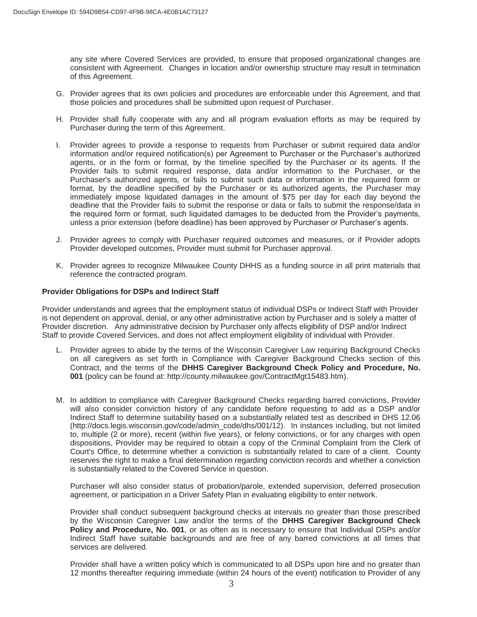any site where Covered Services are provided, to ensure that proposed organizational changes are consistent with Agreement. Changes in location and/or ownership structure may result in termination of this Agreement.

- G. Provider agrees that its own policies and procedures are enforceable under this Agreement, and that those policies and procedures shall be submitted upon request of Purchaser.
- H. Provider shall fully cooperate with any and all program evaluation efforts as may be required by Purchaser during the term of this Agreement.
- I. Provider agrees to provide a response to requests from Purchaser or submit required data and/or information and/or required notification(s) per Agreement to Purchaser or the Purchaser's authorized agents, or in the form or format, by the timeline specified by the Purchaser or its agents. If the Provider fails to submit required response, data and/or information to the Purchaser, or the Purchaser's authorized agents, or fails to submit such data or information in the required form or format, by the deadline specified by the Purchaser or its authorized agents, the Purchaser may immediately impose liquidated damages in the amount of \$75 per day for each day beyond the deadline that the Provider fails to submit the response or data or fails to submit the response/data in the required form or format, such liquidated damages to be deducted from the Provider's payments, unless a prior extension (before deadline) has been approved by Purchaser or Purchaser's agents.
- J. Provider agrees to comply with Purchaser required outcomes and measures, or if Provider adopts Provider developed outcomes, Provider must submit for Purchaser approval.
- K. Provider agrees to recognize Milwaukee County DHHS as a funding source in all print materials that reference the contracted program.

#### **Provider Obligations for DSPs and Indirect Staff**

Provider understands and agrees that the employment status of individual DSPs or Indirect Staff with Provider is not dependent on approval, denial, or any other administrative action by Purchaser and is solely a matter of Provider discretion. Any administrative decision by Purchaser only affects eligibility of DSP and/or Indirect Staff to provide Covered Services, and does not affect employment eligibility of individual with Provider.

- L. Provider agrees to abide by the terms of the Wisconsin Caregiver Law requiring Background Checks on all caregivers as set forth in Compliance with Caregiver Background Checks section of this Contract, and the terms of the **DHHS Caregiver Background Check Policy and Procedure, No. 001** (policy can be found at: http://county.milwaukee.gov/ContractMgt15483.htm).
- M. In addition to compliance with Caregiver Background Checks regarding barred convictions, Provider will also consider conviction history of any candidate before requesting to add as a DSP and/or Indirect Staff to determine suitability based on a substantially related test as described in DHS 12.06 (http://docs.legis.wisconsin.gov/code/admin\_code/dhs/001/12). In instances including, but not limited to, multiple (2 or more), recent (within five years), or felony convictions, or for any charges with open dispositions, Provider may be required to obtain a copy of the Criminal Complaint from the Clerk of Court's Office, to determine whether a conviction is substantially related to care of a client. County reserves the right to make a final determination regarding conviction records and whether a conviction is substantially related to the Covered Service in question.

Purchaser will also consider status of probation/parole, extended supervision, deferred prosecution agreement, or participation in a Driver Safety Plan in evaluating eligibility to enter network.

Provider shall conduct subsequent background checks at intervals no greater than those prescribed by the Wisconsin Caregiver Law and/or the terms of the **DHHS Caregiver Background Check Policy and Procedure, No. 001**, or as often as is necessary to ensure that Individual DSPs and/or Indirect Staff have suitable backgrounds and are free of any barred convictions at all times that services are delivered.

Provider shall have a written policy which is communicated to all DSPs upon hire and no greater than 12 months thereafter requiring immediate (within 24 hours of the event) notification to Provider of any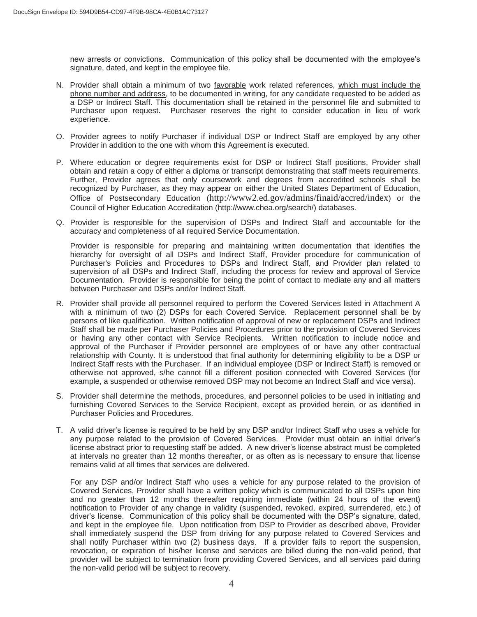new arrests or convictions. Communication of this policy shall be documented with the employee's signature, dated, and kept in the employee file.

- N. Provider shall obtain a minimum of two favorable work related references, which must include the phone number and address, to be documented in writing, for any candidate requested to be added as a DSP or Indirect Staff. This documentation shall be retained in the personnel file and submitted to Purchaser upon request. Purchaser reserves the right to consider education in lieu of work experience.
- O. Provider agrees to notify Purchaser if individual DSP or Indirect Staff are employed by any other Provider in addition to the one with whom this Agreement is executed.
- P. Where education or degree requirements exist for DSP or Indirect Staff positions, Provider shall obtain and retain a copy of either a diploma or transcript demonstrating that staff meets requirements. Further, Provider agrees that only coursework and degrees from accredited schools shall be recognized by Purchaser, as they may appear on either the United States Department of Education, Office of Postsecondary Education (http://www2.ed.gov/admins/finaid/accred/index) or the Council of Higher Education Accreditation (http://www.chea.org/search/) databases.
- Q. Provider is responsible for the supervision of DSPs and Indirect Staff and accountable for the accuracy and completeness of all required Service Documentation.

Provider is responsible for preparing and maintaining written documentation that identifies the hierarchy for oversight of all DSPs and Indirect Staff, Provider procedure for communication of Purchaser's Policies and Procedures to DSPs and Indirect Staff, and Provider plan related to supervision of all DSPs and Indirect Staff, including the process for review and approval of Service Documentation. Provider is responsible for being the point of contact to mediate any and all matters between Purchaser and DSPs and/or Indirect Staff.

- R. Provider shall provide all personnel required to perform the Covered Services listed in Attachment A with a minimum of two (2) DSPs for each Covered Service. Replacement personnel shall be by persons of like qualification. Written notification of approval of new or replacement DSPs and Indirect Staff shall be made per Purchaser Policies and Procedures prior to the provision of Covered Services or having any other contact with Service Recipients. Written notification to include notice and approval of the Purchaser if Provider personnel are employees of or have any other contractual relationship with County. It is understood that final authority for determining eligibility to be a DSP or Indirect Staff rests with the Purchaser. If an individual employee (DSP or Indirect Staff) is removed or otherwise not approved, s/he cannot fill a different position connected with Covered Services (for example, a suspended or otherwise removed DSP may not become an Indirect Staff and vice versa).
- S. Provider shall determine the methods, procedures, and personnel policies to be used in initiating and furnishing Covered Services to the Service Recipient, except as provided herein, or as identified in Purchaser Policies and Procedures.
- T. A valid driver's license is required to be held by any DSP and/or Indirect Staff who uses a vehicle for any purpose related to the provision of Covered Services. Provider must obtain an initial driver's license abstract prior to requesting staff be added. A new driver's license abstract must be completed at intervals no greater than 12 months thereafter, or as often as is necessary to ensure that license remains valid at all times that services are delivered.

For any DSP and/or Indirect Staff who uses a vehicle for any purpose related to the provision of Covered Services, Provider shall have a written policy which is communicated to all DSPs upon hire and no greater than 12 months thereafter requiring immediate (within 24 hours of the event) notification to Provider of any change in validity (suspended, revoked, expired, surrendered, etc.) of driver's license. Communication of this policy shall be documented with the DSP's signature, dated, and kept in the employee file. Upon notification from DSP to Provider as described above, Provider shall immediately suspend the DSP from driving for any purpose related to Covered Services and shall notify Purchaser within two (2) business days. If a provider fails to report the suspension, revocation, or expiration of his/her license and services are billed during the non-valid period, that provider will be subject to termination from providing Covered Services, and all services paid during the non-valid period will be subject to recovery.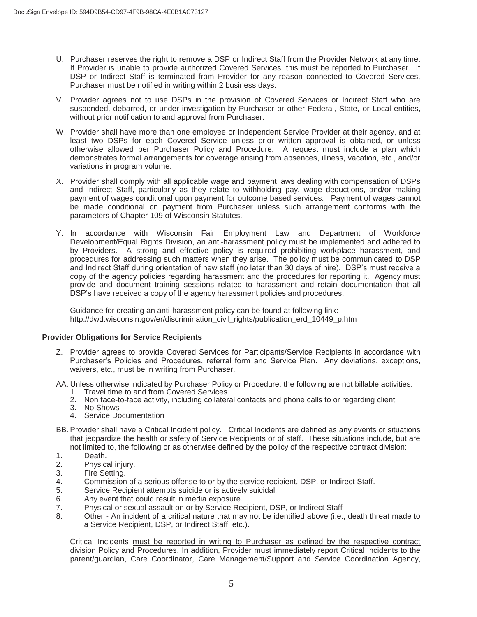- U. Purchaser reserves the right to remove a DSP or Indirect Staff from the Provider Network at any time. If Provider is unable to provide authorized Covered Services, this must be reported to Purchaser. If DSP or Indirect Staff is terminated from Provider for any reason connected to Covered Services, Purchaser must be notified in writing within 2 business days.
- V. Provider agrees not to use DSPs in the provision of Covered Services or Indirect Staff who are suspended, debarred, or under investigation by Purchaser or other Federal, State, or Local entities, without prior notification to and approval from Purchaser.
- W. Provider shall have more than one employee or Independent Service Provider at their agency, and at least two DSPs for each Covered Service unless prior written approval is obtained, or unless otherwise allowed per Purchaser Policy and Procedure. A request must include a plan which demonstrates formal arrangements for coverage arising from absences, illness, vacation, etc., and/or variations in program volume.
- X. Provider shall comply with all applicable wage and payment laws dealing with compensation of DSPs and Indirect Staff, particularly as they relate to withholding pay, wage deductions, and/or making payment of wages conditional upon payment for outcome based services. Payment of wages cannot be made conditional on payment from Purchaser unless such arrangement conforms with the parameters of Chapter 109 of Wisconsin Statutes.
- Y. In accordance with Wisconsin Fair Employment Law and Department of Workforce Development/Equal Rights Division, an anti-harassment policy must be implemented and adhered to by Providers. A strong and effective policy is required prohibiting workplace harassment, and procedures for addressing such matters when they arise. The policy must be communicated to DSP and Indirect Staff during orientation of new staff (no later than 30 days of hire). DSP's must receive a copy of the agency policies regarding harassment and the procedures for reporting it. Agency must provide and document training sessions related to harassment and retain documentation that all DSP's have received a copy of the agency harassment policies and procedures.

Guidance for creating an anti-harassment policy can be found at following link: http://dwd.wisconsin.gov/er/discrimination\_civil\_rights/publication\_erd\_10449\_p.htm

#### **Provider Obligations for Service Recipients**

- Z. Provider agrees to provide Covered Services for Participants/Service Recipients in accordance with Purchaser's Policies and Procedures, referral form and Service Plan. Any deviations, exceptions, waivers, etc., must be in writing from Purchaser.
- AA. Unless otherwise indicated by Purchaser Policy or Procedure, the following are not billable activities:
	- 1. Travel time to and from Covered Services
	- 2. Non face-to-face activity, including collateral contacts and phone calls to or regarding client
	- 3. No Shows
	- 4. Service Documentation
- BB. Provider shall have a Critical Incident policy. Critical Incidents are defined as any events or situations that jeopardize the health or safety of Service Recipients or of staff. These situations include, but are not limited to, the following or as otherwise defined by the policy of the respective contract division:
- 
- 1. Death.<br>2. Physica Physical injury.
- 3. Fire Setting.
- 4. Commission of a serious offense to or by the service recipient, DSP, or Indirect Staff.
- 5. Service Recipient attempts suicide or is actively suicidal.<br>6. Any event that could result in media exposure.
- Any event that could result in media exposure.
- 7. Physical or sexual assault on or by Service Recipient, DSP, or Indirect Staff
- 8. Other An incident of a critical nature that may not be identified above (i.e., death threat made to a Service Recipient, DSP, or Indirect Staff, etc.).

Critical Incidents must be reported in writing to Purchaser as defined by the respective contract division Policy and Procedures. In addition, Provider must immediately report Critical Incidents to the parent/guardian, Care Coordinator, Care Management/Support and Service Coordination Agency,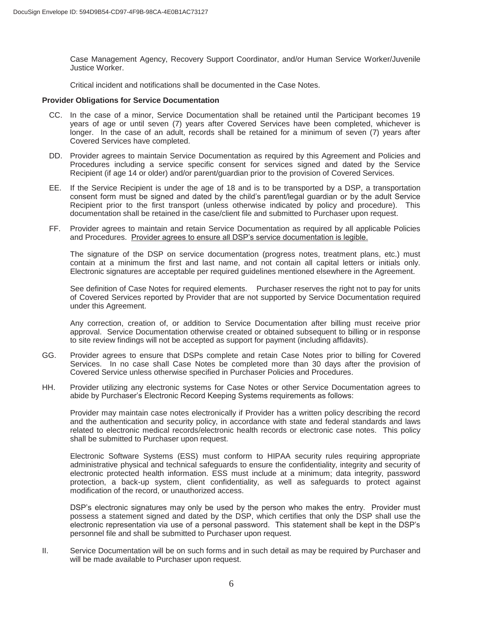Case Management Agency, Recovery Support Coordinator, and/or Human Service Worker/Juvenile Justice Worker.

Critical incident and notifications shall be documented in the Case Notes.

#### **Provider Obligations for Service Documentation**

- CC. In the case of a minor, Service Documentation shall be retained until the Participant becomes 19 years of age or until seven (7) years after Covered Services have been completed, whichever is longer. In the case of an adult, records shall be retained for a minimum of seven (7) years after Covered Services have completed.
- DD. Provider agrees to maintain Service Documentation as required by this Agreement and Policies and Procedures including a service specific consent for services signed and dated by the Service Recipient (if age 14 or older) and/or parent/guardian prior to the provision of Covered Services.
- EE. If the Service Recipient is under the age of 18 and is to be transported by a DSP, a transportation consent form must be signed and dated by the child's parent/legal guardian or by the adult Service Recipient prior to the first transport (unless otherwise indicated by policy and procedure). This documentation shall be retained in the case/client file and submitted to Purchaser upon request.
- FF. Provider agrees to maintain and retain Service Documentation as required by all applicable Policies and Procedures. Provider agrees to ensure all DSP's service documentation is legible.

The signature of the DSP on service documentation (progress notes, treatment plans, etc.) must contain at a minimum the first and last name, and not contain all capital letters or initials only. Electronic signatures are acceptable per required guidelines mentioned elsewhere in the Agreement.

See definition of Case Notes for required elements. Purchaser reserves the right not to pay for units of Covered Services reported by Provider that are not supported by Service Documentation required under this Agreement.

Any correction, creation of, or addition to Service Documentation after billing must receive prior approval. Service Documentation otherwise created or obtained subsequent to billing or in response to site review findings will not be accepted as support for payment (including affidavits).

- GG. Provider agrees to ensure that DSPs complete and retain Case Notes prior to billing for Covered Services. In no case shall Case Notes be completed more than 30 days after the provision of Covered Service unless otherwise specified in Purchaser Policies and Procedures.
- HH. Provider utilizing any electronic systems for Case Notes or other Service Documentation agrees to abide by Purchaser's Electronic Record Keeping Systems requirements as follows:

Provider may maintain case notes electronically if Provider has a written policy describing the record and the authentication and security policy, in accordance with state and federal standards and laws related to electronic medical records/electronic health records or electronic case notes. This policy shall be submitted to Purchaser upon request.

Electronic Software Systems (ESS) must conform to HIPAA security rules requiring appropriate administrative physical and technical safeguards to ensure the confidentiality, integrity and security of electronic protected health information. ESS must include at a minimum; data integrity, password protection, a back-up system, client confidentiality, as well as safeguards to protect against modification of the record, or unauthorized access.

DSP's electronic signatures may only be used by the person who makes the entry. Provider must possess a statement signed and dated by the DSP, which certifies that only the DSP shall use the electronic representation via use of a personal password. This statement shall be kept in the DSP's personnel file and shall be submitted to Purchaser upon request.

II. Service Documentation will be on such forms and in such detail as may be required by Purchaser and will be made available to Purchaser upon request.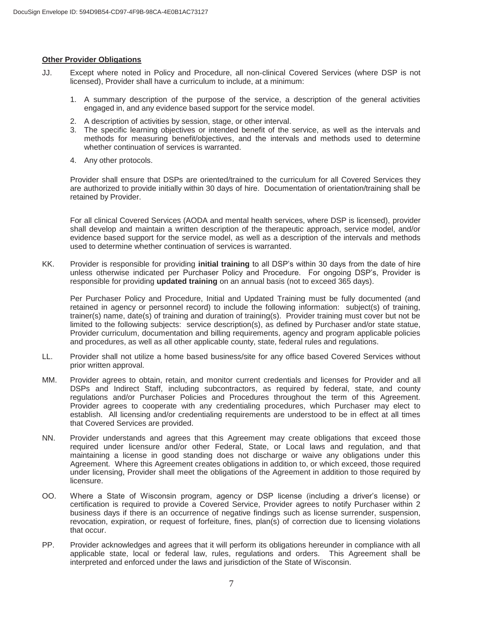#### **Other Provider Obligations**

- JJ. Except where noted in Policy and Procedure, all non-clinical Covered Services (where DSP is not licensed), Provider shall have a curriculum to include, at a minimum:
	- 1. A summary description of the purpose of the service, a description of the general activities engaged in, and any evidence based support for the service model.
	- 2. A description of activities by session, stage, or other interval.
	- 3. The specific learning objectives or intended benefit of the service, as well as the intervals and methods for measuring benefit/objectives, and the intervals and methods used to determine whether continuation of services is warranted.
	- 4. Any other protocols.

 Provider shall ensure that DSPs are oriented/trained to the curriculum for all Covered Services they are authorized to provide initially within 30 days of hire. Documentation of orientation/training shall be retained by Provider.

For all clinical Covered Services (AODA and mental health services, where DSP is licensed), provider shall develop and maintain a written description of the therapeutic approach, service model, and/or evidence based support for the service model, as well as a description of the intervals and methods used to determine whether continuation of services is warranted.

KK. Provider is responsible for providing **initial training** to all DSP's within 30 days from the date of hire unless otherwise indicated per Purchaser Policy and Procedure. For ongoing DSP's, Provider is responsible for providing **updated training** on an annual basis (not to exceed 365 days).

Per Purchaser Policy and Procedure, Initial and Updated Training must be fully documented (and retained in agency or personnel record) to include the following information: subject(s) of training, trainer(s) name, date(s) of training and duration of training(s). Provider training must cover but not be limited to the following subjects: service description(s), as defined by Purchaser and/or state statue, Provider curriculum, documentation and billing requirements, agency and program applicable policies and procedures, as well as all other applicable county, state, federal rules and regulations.

- LL. Provider shall not utilize a home based business/site for any office based Covered Services without prior written approval.
- MM. Provider agrees to obtain, retain, and monitor current credentials and licenses for Provider and all DSPs and Indirect Staff, including subcontractors, as required by federal, state, and county regulations and/or Purchaser Policies and Procedures throughout the term of this Agreement. Provider agrees to cooperate with any credentialing procedures, which Purchaser may elect to establish. All licensing and/or credentialing requirements are understood to be in effect at all times that Covered Services are provided.
- NN. Provider understands and agrees that this Agreement may create obligations that exceed those required under licensure and/or other Federal, State, or Local laws and regulation, and that maintaining a license in good standing does not discharge or waive any obligations under this Agreement. Where this Agreement creates obligations in addition to, or which exceed, those required under licensing, Provider shall meet the obligations of the Agreement in addition to those required by licensure.
- OO. Where a State of Wisconsin program, agency or DSP license (including a driver's license) or certification is required to provide a Covered Service, Provider agrees to notify Purchaser within 2 business days if there is an occurrence of negative findings such as license surrender, suspension, revocation, expiration, or request of forfeiture, fines, plan(s) of correction due to licensing violations that occur.
- PP. Provider acknowledges and agrees that it will perform its obligations hereunder in compliance with all applicable state, local or federal law, rules, regulations and orders. This Agreement shall be interpreted and enforced under the laws and jurisdiction of the State of Wisconsin.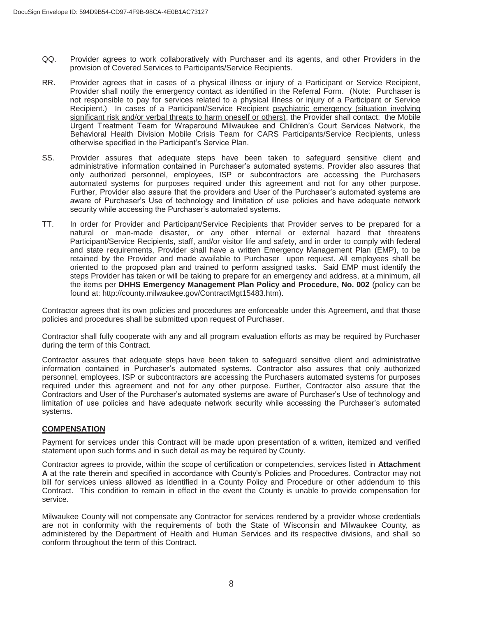- QQ. Provider agrees to work collaboratively with Purchaser and its agents, and other Providers in the provision of Covered Services to Participants/Service Recipients.
- RR. Provider agrees that in cases of a physical illness or injury of a Participant or Service Recipient, Provider shall notify the emergency contact as identified in the Referral Form. (Note: Purchaser is not responsible to pay for services related to a physical illness or injury of a Participant or Service Recipient.) In cases of a Participant/Service Recipient psychiatric emergency (situation involving significant risk and/or verbal threats to harm oneself or others), the Provider shall contact: the Mobile Urgent Treatment Team for Wraparound Milwaukee and Children's Court Services Network, the Behavioral Health Division Mobile Crisis Team for CARS Participants/Service Recipients, unless otherwise specified in the Participant's Service Plan.
- SS. Provider assures that adequate steps have been taken to safeguard sensitive client and administrative information contained in Purchaser's automated systems. Provider also assures that only authorized personnel, employees, ISP or subcontractors are accessing the Purchasers automated systems for purposes required under this agreement and not for any other purpose. Further, Provider also assure that the providers and User of the Purchaser's automated systems are aware of Purchaser's Use of technology and limitation of use policies and have adequate network security while accessing the Purchaser's automated systems.
- TT. In order for Provider and Participant/Service Recipients that Provider serves to be prepared for a natural or man-made disaster, or any other internal or external hazard that threatens Participant/Service Recipients, staff, and/or visitor life and safety, and in order to comply with federal and state requirements, Provider shall have a written Emergency Management Plan (EMP), to be retained by the Provider and made available to Purchaser upon request. All employees shall be oriented to the proposed plan and trained to perform assigned tasks. Said EMP must identify the steps Provider has taken or will be taking to prepare for an emergency and address, at a minimum, all the items per **DHHS Emergency Management Plan Policy and Procedure, No. 002** (policy can be found at: http://county.milwaukee.gov/ContractMgt15483.htm).

Contractor agrees that its own policies and procedures are enforceable under this Agreement, and that those policies and procedures shall be submitted upon request of Purchaser.

Contractor shall fully cooperate with any and all program evaluation efforts as may be required by Purchaser during the term of this Contract.

Contractor assures that adequate steps have been taken to safeguard sensitive client and administrative information contained in Purchaser's automated systems. Contractor also assures that only authorized personnel, employees, ISP or subcontractors are accessing the Purchasers automated systems for purposes required under this agreement and not for any other purpose. Further, Contractor also assure that the Contractors and User of the Purchaser's automated systems are aware of Purchaser's Use of technology and limitation of use policies and have adequate network security while accessing the Purchaser's automated systems.

#### **COMPENSATION**

Payment for services under this Contract will be made upon presentation of a written, itemized and verified statement upon such forms and in such detail as may be required by County.

Contractor agrees to provide, within the scope of certification or competencies, services listed in **Attachment A** at the rate therein and specified in accordance with County's Policies and Procedures. Contractor may not bill for services unless allowed as identified in a County Policy and Procedure or other addendum to this Contract. This condition to remain in effect in the event the County is unable to provide compensation for service.

Milwaukee County will not compensate any Contractor for services rendered by a provider whose credentials are not in conformity with the requirements of both the State of Wisconsin and Milwaukee County, as administered by the Department of Health and Human Services and its respective divisions, and shall so conform throughout the term of this Contract.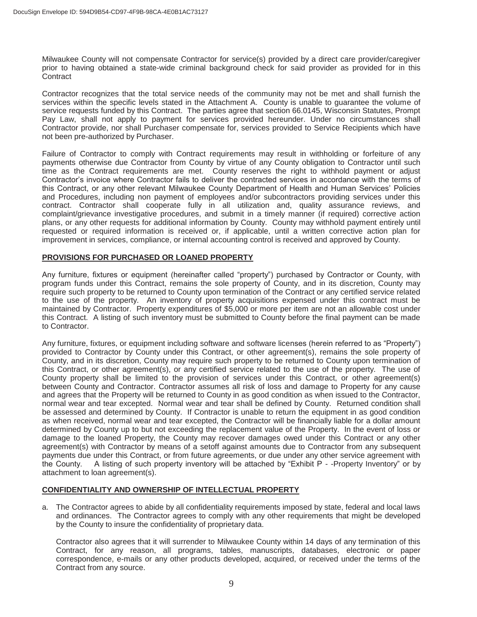Milwaukee County will not compensate Contractor for service(s) provided by a direct care provider/caregiver prior to having obtained a state-wide criminal background check for said provider as provided for in this **Contract** 

Contractor recognizes that the total service needs of the community may not be met and shall furnish the services within the specific levels stated in the Attachment A. County is unable to guarantee the volume of service requests funded by this Contract. The parties agree that section 66.0145, Wisconsin Statutes, Prompt Pay Law, shall not apply to payment for services provided hereunder. Under no circumstances shall Contractor provide, nor shall Purchaser compensate for, services provided to Service Recipients which have not been pre-authorized by Purchaser.

Failure of Contractor to comply with Contract requirements may result in withholding or forfeiture of any payments otherwise due Contractor from County by virtue of any County obligation to Contractor until such time as the Contract requirements are met. County reserves the right to withhold payment or adjust Contractor's invoice where Contractor fails to deliver the contracted services in accordance with the terms of this Contract, or any other relevant Milwaukee County Department of Health and Human Services' Policies and Procedures, including non payment of employees and/or subcontractors providing services under this contract. Contractor shall cooperate fully in all utilization and, quality assurance reviews, and complaint/grievance investigative procedures, and submit in a timely manner (if required) corrective action plans, or any other requests for additional information by County. County may withhold payment entirely until requested or required information is received or, if applicable, until a written corrective action plan for improvement in services, compliance, or internal accounting control is received and approved by County.

### **PROVISIONS FOR PURCHASED OR LOANED PROPERTY**

Any furniture, fixtures or equipment (hereinafter called "property") purchased by Contractor or County, with program funds under this Contract, remains the sole property of County, and in its discretion, County may require such property to be returned to County upon termination of the Contract or any certified service related to the use of the property. An inventory of property acquisitions expensed under this contract must be maintained by Contractor. Property expenditures of \$5,000 or more per item are not an allowable cost under this Contract. A listing of such inventory must be submitted to County before the final payment can be made to Contractor.

Any furniture, fixtures, or equipment including software and software licenses (herein referred to as "Property") provided to Contractor by County under this Contract, or other agreement(s), remains the sole property of County, and in its discretion, County may require such property to be returned to County upon termination of this Contract, or other agreement(s), or any certified service related to the use of the property. The use of County property shall be limited to the provision of services under this Contract, or other agreement(s) between County and Contractor. Contractor assumes all risk of loss and damage to Property for any cause and agrees that the Property will be returned to County in as good condition as when issued to the Contractor, normal wear and tear excepted. Normal wear and tear shall be defined by County. Returned condition shall be assessed and determined by County. If Contractor is unable to return the equipment in as good condition as when received, normal wear and tear excepted, the Contractor will be financially liable for a dollar amount determined by County up to but not exceeding the replacement value of the Property. In the event of loss or damage to the loaned Property, the County may recover damages owed under this Contract or any other agreement(s) with Contractor by means of a setoff against amounts due to Contractor from any subsequent payments due under this Contract, or from future agreements, or due under any other service agreement with the County. A listing of such property inventory will be attached by "Exhibit P - -Property Inventory" or by attachment to loan agreement(s).

### **CONFIDENTIALITY AND OWNERSHIP OF INTELLECTUAL PROPERTY**

a. The Contractor agrees to abide by all confidentiality requirements imposed by state, federal and local laws and ordinances. The Contractor agrees to comply with any other requirements that might be developed by the County to insure the confidentiality of proprietary data.

Contractor also agrees that it will surrender to Milwaukee County within 14 days of any termination of this Contract, for any reason, all programs, tables, manuscripts, databases, electronic or paper correspondence, e-mails or any other products developed, acquired, or received under the terms of the Contract from any source.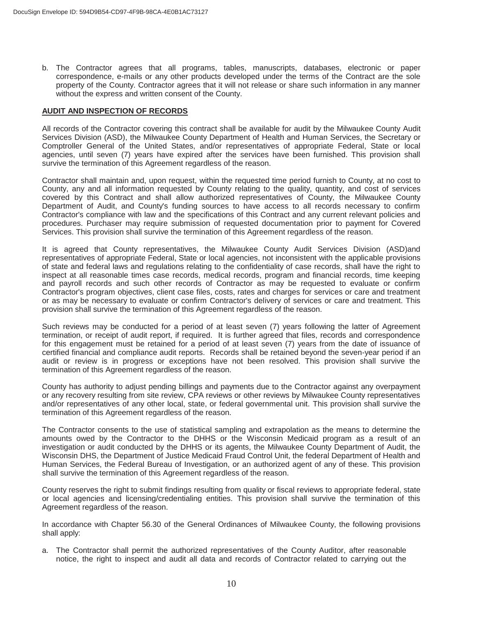b. The Contractor agrees that all programs, tables, manuscripts, databases, electronic or paper correspondence, e-mails or any other products developed under the terms of the Contract are the sole property of the County. Contractor agrees that it will not release or share such information in any manner without the express and written consent of the County.

#### **AUDIT AND INSPECTION OF RECORDS**

All records of the Contractor covering this contract shall be available for audit by the Milwaukee County Audit Services Division (ASD), the Milwaukee County Department of Health and Human Services, the Secretary or Comptroller General of the United States, and/or representatives of appropriate Federal, State or local agencies, until seven (7) years have expired after the services have been furnished. This provision shall survive the termination of this Agreement regardless of the reason.

Contractor shall maintain and, upon request, within the requested time period furnish to County, at no cost to County, any and all information requested by County relating to the quality, quantity, and cost of services covered by this Contract and shall allow authorized representatives of County, the Milwaukee County Department of Audit, and County's funding sources to have access to all records necessary to confirm Contractor's compliance with law and the specifications of this Contract and any current relevant policies and procedures. Purchaser may require submission of requested documentation prior to payment for Covered Services. This provision shall survive the termination of this Agreement regardless of the reason.

It is agreed that County representatives, the Milwaukee County Audit Services Division (ASD)and representatives of appropriate Federal, State or local agencies, not inconsistent with the applicable provisions of state and federal laws and regulations relating to the confidentiality of case records, shall have the right to inspect at all reasonable times case records, medical records, program and financial records, time keeping and payroll records and such other records of Contractor as may be requested to evaluate or confirm Contractor's program objectives, client case files, costs, rates and charges for services or care and treatment or as may be necessary to evaluate or confirm Contractor's delivery of services or care and treatment. This provision shall survive the termination of this Agreement regardless of the reason.

Such reviews may be conducted for a period of at least seven (7) years following the latter of Agreement termination, or receipt of audit report, if required. It is further agreed that files, records and correspondence for this engagement must be retained for a period of at least seven (7) years from the date of issuance of certified financial and compliance audit reports. Records shall be retained beyond the seven-year period if an audit or review is in progress or exceptions have not been resolved. This provision shall survive the termination of this Agreement regardless of the reason.

County has authority to adjust pending billings and payments due to the Contractor against any overpayment or any recovery resulting from site review, CPA reviews or other reviews by Milwaukee County representatives and/or representatives of any other local, state, or federal governmental unit. This provision shall survive the termination of this Agreement regardless of the reason.

The Contractor consents to the use of statistical sampling and extrapolation as the means to determine the amounts owed by the Contractor to the DHHS or the Wisconsin Medicaid program as a result of an investigation or audit conducted by the DHHS or its agents, the Milwaukee County Department of Audit, the Wisconsin DHS, the Department of Justice Medicaid Fraud Control Unit, the federal Department of Health and Human Services, the Federal Bureau of Investigation, or an authorized agent of any of these. This provision shall survive the termination of this Agreement regardless of the reason.

County reserves the right to submit findings resulting from quality or fiscal reviews to appropriate federal, state or local agencies and licensing/credentialing entities. This provision shall survive the termination of this Agreement regardless of the reason.

In accordance with Chapter 56.30 of the General Ordinances of Milwaukee County, the following provisions shall apply:

a. The Contractor shall permit the authorized representatives of the County Auditor, after reasonable notice, the right to inspect and audit all data and records of Contractor related to carrying out the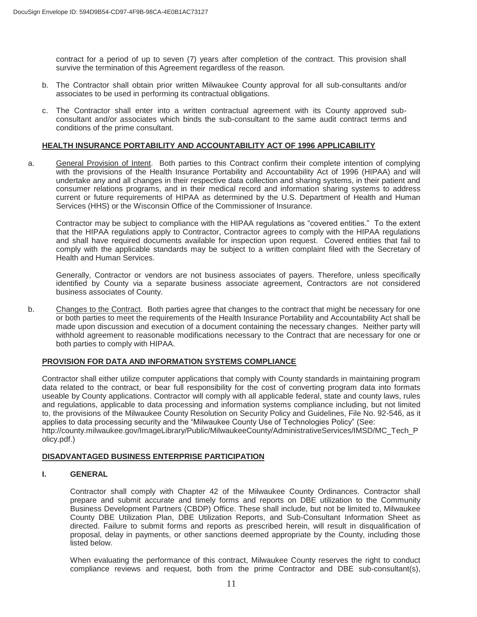contract for a period of up to seven (7) years after completion of the contract. This provision shall survive the termination of this Agreement regardless of the reason.

- b. The Contractor shall obtain prior written Milwaukee County approval for all sub-consultants and/or associates to be used in performing its contractual obligations.
- c. The Contractor shall enter into a written contractual agreement with its County approved subconsultant and/or associates which binds the sub-consultant to the same audit contract terms and conditions of the prime consultant.

#### **HEALTH INSURANCE PORTABILITY AND ACCOUNTABILITY ACT OF 1996 APPLICABILITY**

a. General Provision of Intent. Both parties to this Contract confirm their complete intention of complying with the provisions of the Health Insurance Portability and Accountability Act of 1996 (HIPAA) and will undertake any and all changes in their respective data collection and sharing systems, in their patient and consumer relations programs, and in their medical record and information sharing systems to address current or future requirements of HIPAA as determined by the U.S. Department of Health and Human Services (HHS) or the Wisconsin Office of the Commissioner of Insurance.

Contractor may be subject to compliance with the HIPAA regulations as "covered entities." To the extent that the HIPAA regulations apply to Contractor, Contractor agrees to comply with the HIPAA regulations and shall have required documents available for inspection upon request. Covered entities that fail to comply with the applicable standards may be subject to a written complaint filed with the Secretary of Health and Human Services.

Generally, Contractor or vendors are not business associates of payers. Therefore, unless specifically identified by County via a separate business associate agreement, Contractors are not considered business associates of County.

b. Changes to the Contract. Both parties agree that changes to the contract that might be necessary for one or both parties to meet the requirements of the Health Insurance Portability and Accountability Act shall be made upon discussion and execution of a document containing the necessary changes. Neither party will withhold agreement to reasonable modifications necessary to the Contract that are necessary for one or both parties to comply with HIPAA.

#### **PROVISION FOR DATA AND INFORMATION SYSTEMS COMPLIANCE**

Contractor shall either utilize computer applications that comply with County standards in maintaining program data related to the contract, or bear full responsibility for the cost of converting program data into formats useable by County applications. Contractor will comply with all applicable federal, state and county laws, rules and regulations, applicable to data processing and information systems compliance including, but not limited to, the provisions of the Milwaukee County Resolution on Security Policy and Guidelines, File No. 92-546, as it applies to data processing security and the "Milwaukee County Use of Technologies Policy" (See: http://county.milwaukee.gov/ImageLibrary/Public/MilwaukeeCounty/AdministrativeServices/IMSD/MC\_Tech\_P olicy.pdf.)

#### **DISADVANTAGED BUSINESS ENTERPRISE PARTICIPATION**

#### **I. GENERAL**

Contractor shall comply with Chapter 42 of the Milwaukee County Ordinances. Contractor shall prepare and submit accurate and timely forms and reports on DBE utilization to the Community Business Development Partners (CBDP) Office. These shall include, but not be limited to, Milwaukee County DBE Utilization Plan, DBE Utilization Reports, and Sub-Consultant Information Sheet as directed. Failure to submit forms and reports as prescribed herein, will result in disqualification of proposal, delay in payments, or other sanctions deemed appropriate by the County, including those listed below.

When evaluating the performance of this contract, Milwaukee County reserves the right to conduct compliance reviews and request, both from the prime Contractor and DBE sub-consultant(s),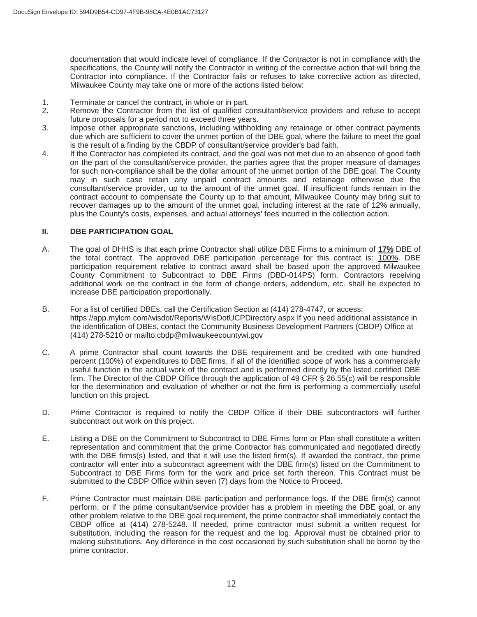documentation that would indicate level of compliance. If the Contractor is not in compliance with the specifications, the County will notify the Contractor in writing of the corrective action that will bring the Contractor into compliance. If the Contractor fails or refuses to take corrective action as directed, Milwaukee County may take one or more of the actions listed below:

- 1. Terminate or cancel the contract, in whole or in part.<br>2. Remove the Contractor from the list of qualified co
- Remove the Contractor from the list of qualified consultant/service providers and refuse to accept future proposals for a period not to exceed three years.
- 3. Impose other appropriate sanctions, including withholding any retainage or other contract payments due which are sufficient to cover the unmet portion of the DBE goal, where the failure to meet the goal is the result of a finding by the CBDP of consultant/service provider's bad faith.
- 4. If the Contractor has completed its contract, and the goal was not met due to an absence of good faith on the part of the consultant/service provider, the parties agree that the proper measure of damages for such non-compliance shall be the dollar amount of the unmet portion of the DBE goal. The County may in such case retain any unpaid contract amounts and retainage otherwise due the consultant/service provider, up to the amount of the unmet goal. If insufficient funds remain in the contract account to compensate the County up to that amount, Milwaukee County may bring suit to recover damages up to the amount of the unmet goal, including interest at the rate of 12% annually, plus the County's costs, expenses, and actual attorneys' fees incurred in the collection action.

#### **II. DBE PARTICIPATION GOAL**

- A. The goal of DHHS is that each prime Contractor shall utilize DBE Firms to a minimum of **17%** DBE of the total contract. The approved DBE participation percentage for this contract is:  $\overline{100\%}$ . DBE participation requirement relative to contract award shall be based upon the approved Milwaukee County Commitment to Subcontract to DBE Firms (DBD-014PS) form. Contractors receiving additional work on the contract in the form of change orders, addendum, etc. shall be expected to increase DBE participation proportionally.
- B. For a list of certified DBEs, call the Certification Section at (414) 278-4747, or access: https://app.mylcm.com/wisdot/Reports/WisDotUCPDirectory.aspx If you need additional assistance in the identification of DBEs, contact the Community Business Development Partners (CBDP) Office at (414) 278-5210 or mailto:cbdp@milwaukeecountywi.gov
- C. A prime Contractor shall count towards the DBE requirement and be credited with one hundred percent (100%) of expenditures to DBE firms, if all of the identified scope of work has a commercially useful function in the actual work of the contract and is performed directly by the listed certified DBE firm. The Director of the CBDP Office through the application of 49 CFR § 26.55(c) will be responsible for the determination and evaluation of whether or not the firm is performing a commercially useful function on this project.
- D. Prime Contractor is required to notify the CBDP Office if their DBE subcontractors will further subcontract out work on this project.
- E. Listing a DBE on the Commitment to Subcontract to DBE Firms form or Plan shall constitute a written representation and commitment that the prime Contractor has communicated and negotiated directly with the DBE firms(s) listed, and that it will use the listed firm(s). If awarded the contract, the prime contractor will enter into a subcontract agreement with the DBE firm(s) listed on the Commitment to Subcontract to DBE Firms form for the work and price set forth thereon. This Contract must be submitted to the CBDP Office within seven (7) days from the Notice to Proceed.
- F. Prime Contractor must maintain DBE participation and performance logs. If the DBE firm(s) cannot perform, or if the prime consultant/service provider has a problem in meeting the DBE goal, or any other problem relative to the DBE goal requirement, the prime contractor shall immediately contact the CBDP office at (414) 278-5248. If needed, prime contractor must submit a written request for substitution, including the reason for the request and the log. Approval must be obtained prior to making substitutions. Any difference in the cost occasioned by such substitution shall be borne by the prime contractor.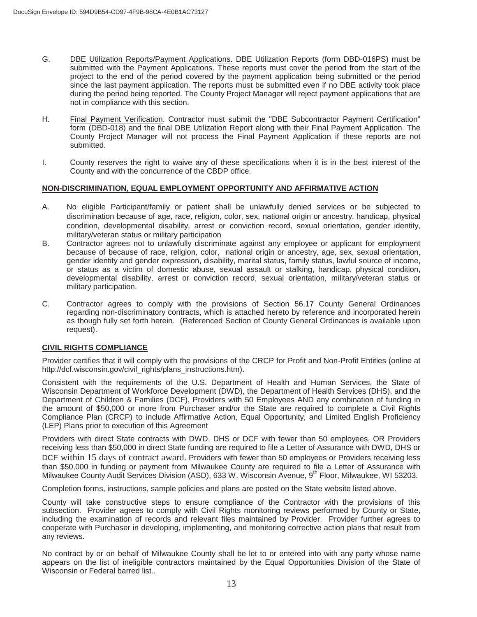- G. DBE Utilization Reports/Payment Applications. DBE Utilization Reports (form DBD-016PS) must be submitted with the Payment Applications. These reports must cover the period from the start of the project to the end of the period covered by the payment application being submitted or the period since the last payment application. The reports must be submitted even if no DBE activity took place during the period being reported. The County Project Manager will reject payment applications that are not in compliance with this section.
- H. Final Payment Verification. Contractor must submit the "DBE Subcontractor Payment Certification" form (DBD-018) and the final DBE Utilization Report along with their Final Payment Application. The County Project Manager will not process the Final Payment Application if these reports are not submitted.
- I. County reserves the right to waive any of these specifications when it is in the best interest of the County and with the concurrence of the CBDP office.

#### **NON-DISCRIMINATION, EQUAL EMPLOYMENT OPPORTUNITY AND AFFIRMATIVE ACTION**

- A. No eligible Participant/family or patient shall be unlawfully denied services or be subjected to discrimination because of age, race, religion, color, sex, national origin or ancestry, handicap, physical condition, developmental disability, arrest or conviction record, sexual orientation, gender identity, military/veteran status or military participation
- B. Contractor agrees not to unlawfully discriminate against any employee or applicant for employment because of because of race, religion, color, national origin or ancestry, age, sex, sexual orientation, gender identity and gender expression, disability, marital status, family status, lawful source of income, or status as a victim of domestic abuse, sexual assault or stalking, handicap, physical condition, developmental disability, arrest or conviction record, sexual orientation, military/veteran status or military participation.
- C. Contractor agrees to comply with the provisions of Section 56.17 County General Ordinances regarding non-discriminatory contracts, which is attached hereto by reference and incorporated herein as though fully set forth herein. (Referenced Section of County General Ordinances is available upon request).

#### **CIVIL RIGHTS COMPLIANCE**

Provider certifies that it will comply with the provisions of the CRCP for Profit and Non-Profit Entities (online at http://dcf.wisconsin.gov/civil\_rights/plans\_instructions.htm).

Consistent with the requirements of the U.S. Department of Health and Human Services, the State of Wisconsin Department of Workforce Development (DWD), the Department of Health Services (DHS), and the Department of Children & Families (DCF), Providers with 50 Employees AND any combination of funding in the amount of \$50,000 or more from Purchaser and/or the State are required to complete a Civil Rights Compliance Plan (CRCP) to include Affirmative Action, Equal Opportunity, and Limited English Proficiency (LEP) Plans prior to execution of this Agreement

Providers with direct State contracts with DWD, DHS or DCF with fewer than 50 employees, OR Providers receiving less than \$50,000 in direct State funding are required to file a Letter of Assurance with DWD, DHS or DCF within 15 days of contract award. Providers with fewer than 50 employees or Providers receiving less than \$50,000 in funding or payment from Milwaukee County are required to file a Letter of Assurance with Milwaukee County Audit Services Division (ASD), 633 W. Wisconsin Avenue, 9<sup>th</sup> Floor, Milwaukee, WI 53203.

Completion forms, instructions, sample policies and plans are posted on the State website listed above.

County will take constructive steps to ensure compliance of the Contractor with the provisions of this subsection. Provider agrees to comply with Civil Rights monitoring reviews performed by County or State, including the examination of records and relevant files maintained by Provider. Provider further agrees to cooperate with Purchaser in developing, implementing, and monitoring corrective action plans that result from any reviews.

No contract by or on behalf of Milwaukee County shall be let to or entered into with any party whose name appears on the list of ineligible contractors maintained by the Equal Opportunities Division of the State of Wisconsin or Federal barred list..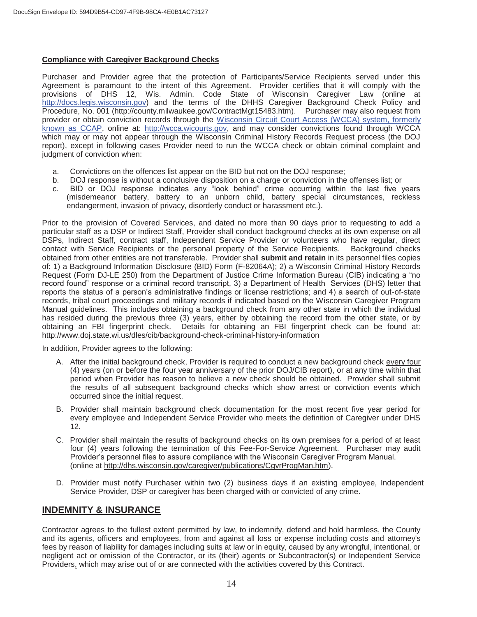#### **Compliance with Caregiver Background Checks**

Purchaser and Provider agree that the protection of Participants/Service Recipients served under this Agreement is paramount to the intent of this Agreement. Provider certifies that it will comply with the provisions of DHS 12, Wis. Admin. Code State of Wisconsin Caregiver Law (online at http://docs.legis.wisconsin.gov) and the terms of the DHHS Caregiver Background Check Policy and Procedure, No. 001 (http://county.milwaukee.gov/ContractMgt15483.htm). Purchaser may also request from provider or obtain conviction records through the Wisconsin Circuit Court Access (WCCA) system, formerly known as CCAP, online at: http://wcca.wicourts.gov, and may consider convictions found through WCCA which may or may not appear through the Wisconsin Criminal History Records Request process (the DOJ report), except in following cases Provider need to run the WCCA check or obtain criminal complaint and judgment of conviction when:

- a. Convictions on the offences list appear on the BID but not on the DOJ response;
- b. DOJ response is without a conclusive disposition on a charge or conviction in the offenses list; or
- c. BID or DOJ response indicates any "look behind" crime occurring within the last five years (misdemeanor battery, battery to an unborn child, battery special circumstances, reckless endangerment, invasion of privacy, disorderly conduct or harassment etc.).

Prior to the provision of Covered Services, and dated no more than 90 days prior to requesting to add a particular staff as a DSP or Indirect Staff, Provider shall conduct background checks at its own expense on all DSPs, Indirect Staff, contract staff, Independent Service Provider or volunteers who have regular, direct contact with Service Recipients or the personal property of the Service Recipients. Background checks obtained from other entities are not transferable. Provider shall **submit and retain** in its personnel files copies of: 1) a Background Information Disclosure (BID) Form (F-82064A); 2) a Wisconsin Criminal History Records Request (Form DJ-LE 250) from the Department of Justice Crime Information Bureau (CIB) indicating a "no record found" response or a criminal record transcript, 3) a Department of Health Services (DHS) letter that reports the status of a person's administrative findings or license restrictions; and 4) a search of out-of-state records, tribal court proceedings and military records if indicated based on the Wisconsin Caregiver Program Manual guidelines. This includes obtaining a background check from any other state in which the individual has resided during the previous three (3) years, either by obtaining the record from the other state, or by obtaining an FBI fingerprint check. Details for obtaining an FBI fingerprint check can be found at: http://www.doj.state.wi.us/dles/cib/background-check-criminal-history-information

In addition, Provider agrees to the following:

- A. After the initial background check, Provider is required to conduct a new background check every four (4) years (on or before the four year anniversary of the prior DOJ/CIB report), or at any time within that period when Provider has reason to believe a new check should be obtained. Provider shall submit the results of all subsequent background checks which show arrest or conviction events which occurred since the initial request.
- B. Provider shall maintain background check documentation for the most recent five year period for every employee and Independent Service Provider who meets the definition of Caregiver under DHS 12.
- C. Provider shall maintain the results of background checks on its own premises for a period of at least four (4) years following the termination of this Fee-For-Service Agreement. Purchaser may audit Provider's personnel files to assure compliance with the Wisconsin Caregiver Program Manual. (online at http://dhs.wisconsin.gov/caregiver/publications/CgvrProgMan.htm).
- D. Provider must notify Purchaser within two (2) business days if an existing employee, Independent Service Provider, DSP or caregiver has been charged with or convicted of any crime.

### **INDEMNITY & INSURANCE**

Contractor agrees to the fullest extent permitted by law, to indemnify, defend and hold harmless, the County and its agents, officers and employees, from and against all loss or expense including costs and attorney's fees by reason of liability for damages including suits at law or in equity, caused by any wrongful, intentional, or negligent act or omission of the Contractor, or its (their) agents or Subcontractor(s) or Independent Service Providers, which may arise out of or are connected with the activities covered by this Contract.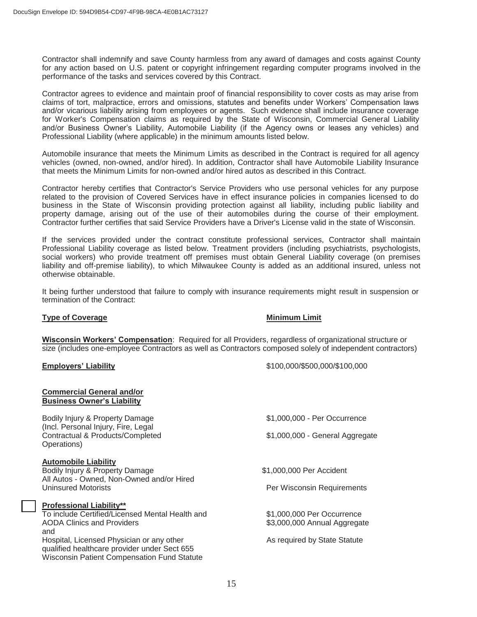Contractor shall indemnify and save County harmless from any award of damages and costs against County for any action based on U.S. patent or copyright infringement regarding computer programs involved in the performance of the tasks and services covered by this Contract.

Contractor agrees to evidence and maintain proof of financial responsibility to cover costs as may arise from claims of tort, malpractice, errors and omissions, statutes and benefits under Workers' Compensation laws and/or vicarious liability arising from employees or agents. Such evidence shall include insurance coverage for Worker's Compensation claims as required by the State of Wisconsin, Commercial General Liability and/or Business Owner's Liability, Automobile Liability (if the Agency owns or leases any vehicles) and Professional Liability (where applicable) in the minimum amounts listed below.

Automobile insurance that meets the Minimum Limits as described in the Contract is required for all agency vehicles (owned, non-owned, and/or hired). In addition, Contractor shall have Automobile Liability Insurance that meets the Minimum Limits for non-owned and/or hired autos as described in this Contract.

Contractor hereby certifies that Contractor's Service Providers who use personal vehicles for any purpose related to the provision of Covered Services have in effect insurance policies in companies licensed to do business in the State of Wisconsin providing protection against all liability, including public liability and property damage, arising out of the use of their automobiles during the course of their employment. Contractor further certifies that said Service Providers have a Driver's License valid in the state of Wisconsin.

If the services provided under the contract constitute professional services, Contractor shall maintain Professional Liability coverage as listed below. Treatment providers (including psychiatrists, psychologists, social workers) who provide treatment off premises must obtain General Liability coverage (on premises liability and off-premise liability), to which Milwaukee County is added as an additional insured, unless not otherwise obtainable.

It being further understood that failure to comply with insurance requirements might result in suspension or termination of the Contract:

#### **Type of Coverage Coverage Coverage Coverage Coverage Coverage Coverage Coverage Coverage Coverage Coverage Coverage Coverage Coverage Coverage Coverage Coverage Coverage Coverage Coverage Coverage Coverage Coverage Covera**

**Wisconsin Workers' Compensation**: Required for all Providers, regardless of organizational structure or size (includes one-employee Contractors as well as Contractors composed solely of independent contractors)

**Commercial General and/or** 

**Employers' Liability** \$100,000/\$500,000/\$100,000

| <b>Business Owner's Liability</b>                                                                                                               |                                 |  |  |  |
|-------------------------------------------------------------------------------------------------------------------------------------------------|---------------------------------|--|--|--|
| Bodily Injury & Property Damage<br>(Incl. Personal Injury, Fire, Legal                                                                          | \$1,000,000 - Per Occurrence    |  |  |  |
| Contractual & Products/Completed<br>Operations)                                                                                                 | \$1,000,000 - General Aggregate |  |  |  |
| <b>Automobile Liability</b>                                                                                                                     |                                 |  |  |  |
| Bodily Injury & Property Damage                                                                                                                 | \$1,000,000 Per Accident        |  |  |  |
| All Autos - Owned, Non-Owned and/or Hired<br><b>Uninsured Motorists</b>                                                                         | Per Wisconsin Requirements      |  |  |  |
| <b>Professional Liability**</b>                                                                                                                 |                                 |  |  |  |
| To include Certified/Licensed Mental Health and                                                                                                 | \$1,000,000 Per Occurrence      |  |  |  |
| <b>AODA Clinics and Providers</b>                                                                                                               | \$3,000,000 Annual Aggregate    |  |  |  |
| and                                                                                                                                             |                                 |  |  |  |
| Hospital, Licensed Physician or any other<br>qualified healthcare provider under Sect 655<br><b>Wisconsin Patient Compensation Fund Statute</b> | As required by State Statute    |  |  |  |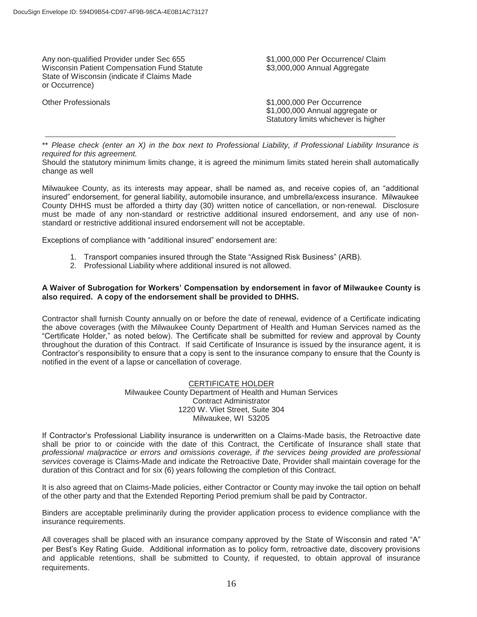Any non-qualified Provider under Sec 655 \$1,000,000 Per Occurrence/ Claim Wisconsin Patient Compensation Fund Statute  $$3,000,000$  Annual Aggregate State of Wisconsin (indicate if Claims Made or Occurrence)

Other Professionals **61,000,000 Per Occurrence** \$1,000,000 Annual aggregate or Statutory limits whichever is higher

\*\* *Please check (enter an X) in the box next to Professional Liability, if Professional Liability Insurance is required for this agreement.* 

Should the statutory minimum limits change, it is agreed the minimum limits stated herein shall automatically change as well

Milwaukee County, as its interests may appear, shall be named as, and receive copies of, an "additional insured" endorsement, for general liability, automobile insurance, and umbrella/excess insurance. Milwaukee County DHHS must be afforded a thirty day (30) written notice of cancellation, or non-renewal. Disclosure must be made of any non-standard or restrictive additional insured endorsement, and any use of nonstandard or restrictive additional insured endorsement will not be acceptable.

Exceptions of compliance with "additional insured" endorsement are:

- 1. Transport companies insured through the State "Assigned Risk Business" (ARB).
- 2. Professional Liability where additional insured is not allowed.

#### **A Waiver of Subrogation for Workers' Compensation by endorsement in favor of Milwaukee County is also required. A copy of the endorsement shall be provided to DHHS.**

Contractor shall furnish County annually on or before the date of renewal, evidence of a Certificate indicating the above coverages (with the Milwaukee County Department of Health and Human Services named as the "Certificate Holder," as noted below). The Certificate shall be submitted for review and approval by County throughout the duration of this Contract. If said Certificate of Insurance is issued by the insurance agent, it is Contractor's responsibility to ensure that a copy is sent to the insurance company to ensure that the County is notified in the event of a lapse or cancellation of coverage.

#### CERTIFICATE HOLDER

Milwaukee County Department of Health and Human Services Contract Administrator 1220 W. Vliet Street, Suite 304 Milwaukee, WI 53205

If Contractor's Professional Liability insurance is underwritten on a Claims-Made basis, the Retroactive date shall be prior to or coincide with the date of this Contract, the Certificate of Insurance shall state that *professional malpractice or errors and omissions coverage, if the services being provided are professional services* coverage is Claims-Made and indicate the Retroactive Date, Provider shall maintain coverage for the duration of this Contract and for six (6) years following the completion of this Contract.

It is also agreed that on Claims-Made policies, either Contractor or County may invoke the tail option on behalf of the other party and that the Extended Reporting Period premium shall be paid by Contractor.

Binders are acceptable preliminarily during the provider application process to evidence compliance with the insurance requirements.

All coverages shall be placed with an insurance company approved by the State of Wisconsin and rated "A" per Best's Key Rating Guide. Additional information as to policy form, retroactive date, discovery provisions and applicable retentions, shall be submitted to County, if requested, to obtain approval of insurance requirements.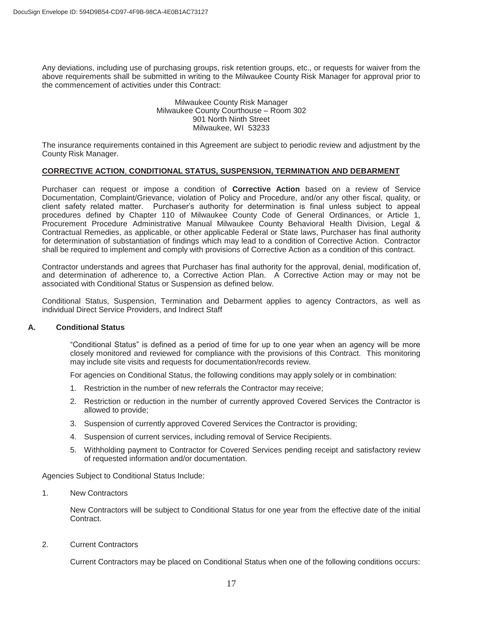Any deviations, including use of purchasing groups, risk retention groups, etc., or requests for waiver from the above requirements shall be submitted in writing to the Milwaukee County Risk Manager for approval prior to the commencement of activities under this Contract:

#### Milwaukee County Risk Manager Milwaukee County Courthouse – Room 302 901 North Ninth Street Milwaukee, WI 53233

The insurance requirements contained in this Agreement are subject to periodic review and adjustment by the County Risk Manager.

#### **CORRECTIVE ACTION**, **CONDITIONAL STATUS, SUSPENSION, TERMINATION AND DEBARMENT**

Purchaser can request or impose a condition of **Corrective Action** based on a review of Service Documentation, Complaint/Grievance, violation of Policy and Procedure, and/or any other fiscal, quality, or client safety related matter. Purchaser's authority for determination is final unless subject to appeal procedures defined by Chapter 110 of Milwaukee County Code of General Ordinances, or Article 1, Procurement Procedure Administrative Manual Milwaukee County Behavioral Health Division, Legal & Contractual Remedies, as applicable, or other applicable Federal or State laws, Purchaser has final authority for determination of substantiation of findings which may lead to a condition of Corrective Action. Contractor shall be required to implement and comply with provisions of Corrective Action as a condition of this contract.

Contractor understands and agrees that Purchaser has final authority for the approval, denial, modification of, and determination of adherence to, a Corrective Action Plan. A Corrective Action may or may not be associated with Conditional Status or Suspension as defined below.

Conditional Status, Suspension, Termination and Debarment applies to agency Contractors, as well as individual Direct Service Providers, and Indirect Staff

#### **A. Conditional Status**

"Conditional Status" is defined as a period of time for up to one year when an agency will be more closely monitored and reviewed for compliance with the provisions of this Contract. This monitoring may include site visits and requests for documentation/records review.

For agencies on Conditional Status, the following conditions may apply solely or in combination:

- 1. Restriction in the number of new referrals the Contractor may receive;
- 2. Restriction or reduction in the number of currently approved Covered Services the Contractor is allowed to provide;
- 3. Suspension of currently approved Covered Services the Contractor is providing;
- 4. Suspension of current services, including removal of Service Recipients.
- 5. Withholding payment to Contractor for Covered Services pending receipt and satisfactory review of requested information and/or documentation.

Agencies Subject to Conditional Status Include:

1. New Contractors

New Contractors will be subject to Conditional Status for one year from the effective date of the initial Contract.

2. Current Contractors

Current Contractors may be placed on Conditional Status when one of the following conditions occurs: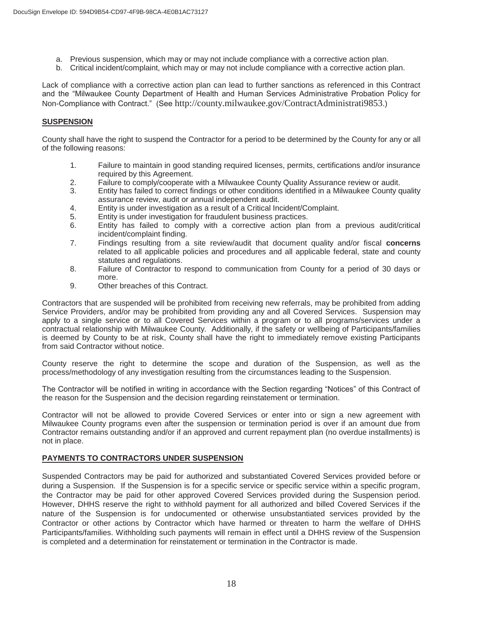- a. Previous suspension, which may or may not include compliance with a corrective action plan.
- b. Critical incident/complaint, which may or may not include compliance with a corrective action plan.

Lack of compliance with a corrective action plan can lead to further sanctions as referenced in this Contract and the "Milwaukee County Department of Health and Human Services Administrative Probation Policy for Non-Compliance with Contract." (See http://county.milwaukee.gov/ContractAdministrati9853.)

#### **SUSPENSION**

County shall have the right to suspend the Contractor for a period to be determined by the County for any or all of the following reasons:

- 1. Failure to maintain in good standing required licenses, permits, certifications and/or insurance required by this Agreement.
- 2. Failure to comply/cooperate with a Milwaukee County Quality Assurance review or audit.
- 3. Entity has failed to correct findings or other conditions identified in a Milwaukee County quality assurance review, audit or annual independent audit.
- 4. Entity is under investigation as a result of a Critical Incident/Complaint.
- 5. Entity is under investigation for fraudulent business practices.
- 6. Entity has failed to comply with a corrective action plan from a previous audit/critical incident/complaint finding.
- 7. Findings resulting from a site review/audit that document quality and/or fiscal **concerns**  related to all applicable policies and procedures and all applicable federal, state and county statutes and regulations.
- 8. Failure of Contractor to respond to communication from County for a period of 30 days or more.
- 9. Other breaches of this Contract.

Contractors that are suspended will be prohibited from receiving new referrals, may be prohibited from adding Service Providers, and/or may be prohibited from providing any and all Covered Services. Suspension may apply to a single service or to all Covered Services within a program or to all programs/services under a contractual relationship with Milwaukee County. Additionally, if the safety or wellbeing of Participants/families is deemed by County to be at risk, County shall have the right to immediately remove existing Participants from said Contractor without notice.

 County reserve the right to determine the scope and duration of the Suspension, as well as the process/methodology of any investigation resulting from the circumstances leading to the Suspension.

The Contractor will be notified in writing in accordance with the Section regarding "Notices" of this Contract of the reason for the Suspension and the decision regarding reinstatement or termination.

Contractor will not be allowed to provide Covered Services or enter into or sign a new agreement with Milwaukee County programs even after the suspension or termination period is over if an amount due from Contractor remains outstanding and/or if an approved and current repayment plan (no overdue installments) is not in place.

#### **PAYMENTS TO CONTRACTORS UNDER SUSPENSION**

Suspended Contractors may be paid for authorized and substantiated Covered Services provided before or during a Suspension. If the Suspension is for a specific service or specific service within a specific program, the Contractor may be paid for other approved Covered Services provided during the Suspension period. However, DHHS reserve the right to withhold payment for all authorized and billed Covered Services if the nature of the Suspension is for undocumented or otherwise unsubstantiated services provided by the Contractor or other actions by Contractor which have harmed or threaten to harm the welfare of DHHS Participants/families. Withholding such payments will remain in effect until a DHHS review of the Suspension is completed and a determination for reinstatement or termination in the Contractor is made.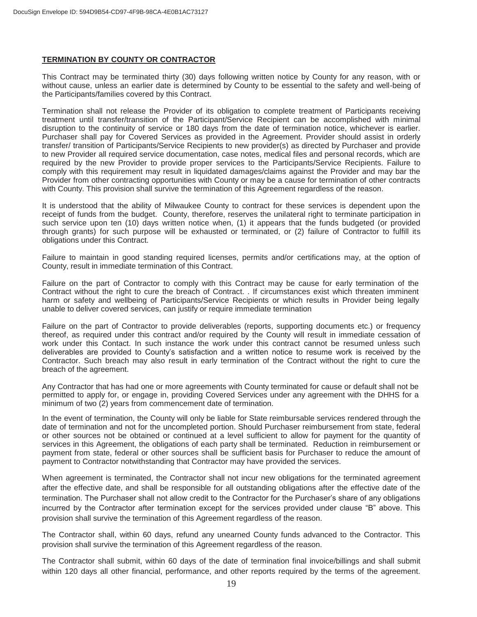#### **TERMINATION BY COUNTY OR CONTRACTOR**

This Contract may be terminated thirty (30) days following written notice by County for any reason, with or without cause, unless an earlier date is determined by County to be essential to the safety and well-being of the Participants/families covered by this Contract.

Termination shall not release the Provider of its obligation to complete treatment of Participants receiving treatment until transfer/transition of the Participant/Service Recipient can be accomplished with minimal disruption to the continuity of service or 180 days from the date of termination notice, whichever is earlier. Purchaser shall pay for Covered Services as provided in the Agreement. Provider should assist in orderly transfer/ transition of Participants/Service Recipients to new provider(s) as directed by Purchaser and provide to new Provider all required service documentation, case notes, medical files and personal records, which are required by the new Provider to provide proper services to the Participants/Service Recipients. Failure to comply with this requirement may result in liquidated damages/claims against the Provider and may bar the Provider from other contracting opportunities with County or may be a cause for termination of other contracts with County. This provision shall survive the termination of this Agreement regardless of the reason.

It is understood that the ability of Milwaukee County to contract for these services is dependent upon the receipt of funds from the budget. County, therefore, reserves the unilateral right to terminate participation in such service upon ten (10) days written notice when, (1) it appears that the funds budgeted (or provided through grants) for such purpose will be exhausted or terminated, or (2) failure of Contractor to fulfill its obligations under this Contract.

Failure to maintain in good standing required licenses, permits and/or certifications may, at the option of County, result in immediate termination of this Contract.

Failure on the part of Contractor to comply with this Contract may be cause for early termination of the Contract without the right to cure the breach of Contract. . If circumstances exist which threaten imminent harm or safety and wellbeing of Participants/Service Recipients or which results in Provider being legally unable to deliver covered services, can justify or require immediate termination

Failure on the part of Contractor to provide deliverables (reports, supporting documents etc.) or frequency thereof, as required under this contract and/or required by the County will result in immediate cessation of work under this Contact. In such instance the work under this contract cannot be resumed unless such deliverables are provided to County's satisfaction and a written notice to resume work is received by the Contractor. Such breach may also result in early termination of the Contract without the right to cure the breach of the agreement.

Any Contractor that has had one or more agreements with County terminated for cause or default shall not be permitted to apply for, or engage in, providing Covered Services under any agreement with the DHHS for a minimum of two (2) years from commencement date of termination.

In the event of termination, the County will only be liable for State reimbursable services rendered through the date of termination and not for the uncompleted portion. Should Purchaser reimbursement from state, federal or other sources not be obtained or continued at a level sufficient to allow for payment for the quantity of services in this Agreement, the obligations of each party shall be terminated. Reduction in reimbursement or payment from state, federal or other sources shall be sufficient basis for Purchaser to reduce the amount of payment to Contractor notwithstanding that Contractor may have provided the services.

When agreement is terminated, the Contractor shall not incur new obligations for the terminated agreement after the effective date, and shall be responsible for all outstanding obligations after the effective date of the termination. The Purchaser shall not allow credit to the Contractor for the Purchaser's share of any obligations incurred by the Contractor after termination except for the services provided under clause "B" above. This provision shall survive the termination of this Agreement regardless of the reason.

The Contractor shall, within 60 days, refund any unearned County funds advanced to the Contractor. This provision shall survive the termination of this Agreement regardless of the reason.

The Contractor shall submit, within 60 days of the date of termination final invoice/billings and shall submit within 120 days all other financial, performance, and other reports required by the terms of the agreement.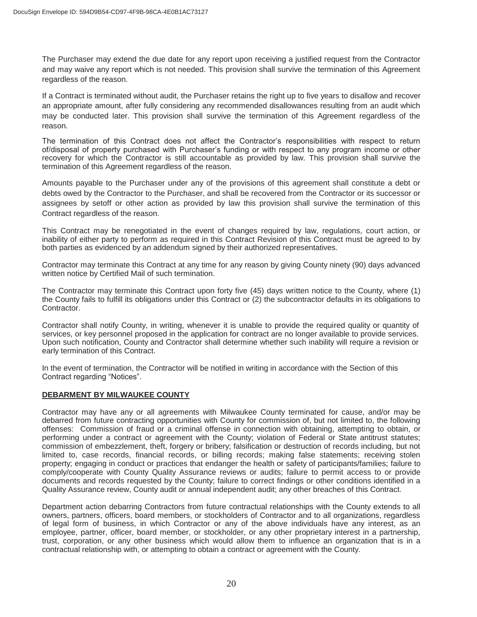The Purchaser may extend the due date for any report upon receiving a justified request from the Contractor and may waive any report which is not needed. This provision shall survive the termination of this Agreement regardless of the reason.

If a Contract is terminated without audit, the Purchaser retains the right up to five years to disallow and recover an appropriate amount, after fully considering any recommended disallowances resulting from an audit which may be conducted later. This provision shall survive the termination of this Agreement regardless of the reason.

The termination of this Contract does not affect the Contractor's responsibilities with respect to return of/disposal of property purchased with Purchaser's funding or with respect to any program income or other recovery for which the Contractor is still accountable as provided by law. This provision shall survive the termination of this Agreement regardless of the reason.

Amounts payable to the Purchaser under any of the provisions of this agreement shall constitute a debt or debts owed by the Contractor to the Purchaser, and shall be recovered from the Contractor or its successor or assignees by setoff or other action as provided by law this provision shall survive the termination of this Contract regardless of the reason.

This Contract may be renegotiated in the event of changes required by law, regulations, court action, or inability of either party to perform as required in this Contract Revision of this Contract must be agreed to by both parties as evidenced by an addendum signed by their authorized representatives.

Contractor may terminate this Contract at any time for any reason by giving County ninety (90) days advanced written notice by Certified Mail of such termination.

The Contractor may terminate this Contract upon forty five (45) days written notice to the County, where (1) the County fails to fulfill its obligations under this Contract or (2) the subcontractor defaults in its obligations to Contractor.

Contractor shall notify County, in writing, whenever it is unable to provide the required quality or quantity of services, or key personnel proposed in the application for contract are no longer available to provide services. Upon such notification, County and Contractor shall determine whether such inability will require a revision or early termination of this Contract.

In the event of termination, the Contractor will be notified in writing in accordance with the Section of this Contract regarding "Notices".

#### **DEBARMENT BY MILWAUKEE COUNTY**

Contractor may have any or all agreements with Milwaukee County terminated for cause, and/or may be debarred from future contracting opportunities with County for commission of, but not limited to, the following offenses: Commission of fraud or a criminal offense in connection with obtaining, attempting to obtain, or performing under a contract or agreement with the County; violation of Federal or State antitrust statutes; commission of embezzlement, theft, forgery or bribery; falsification or destruction of records including, but not limited to, case records, financial records, or billing records; making false statements; receiving stolen property; engaging in conduct or practices that endanger the health or safety of participants/families; failure to comply/cooperate with County Quality Assurance reviews or audits; failure to permit access to or provide documents and records requested by the County; failure to correct findings or other conditions identified in a Quality Assurance review, County audit or annual independent audit; any other breaches of this Contract.

Department action debarring Contractors from future contractual relationships with the County extends to all owners, partners, officers, board members, or stockholders of Contractor and to all organizations, regardless of legal form of business, in which Contractor or any of the above individuals have any interest, as an employee, partner, officer, board member, or stockholder, or any other proprietary interest in a partnership, trust, corporation, or any other business which would allow them to influence an organization that is in a contractual relationship with, or attempting to obtain a contract or agreement with the County.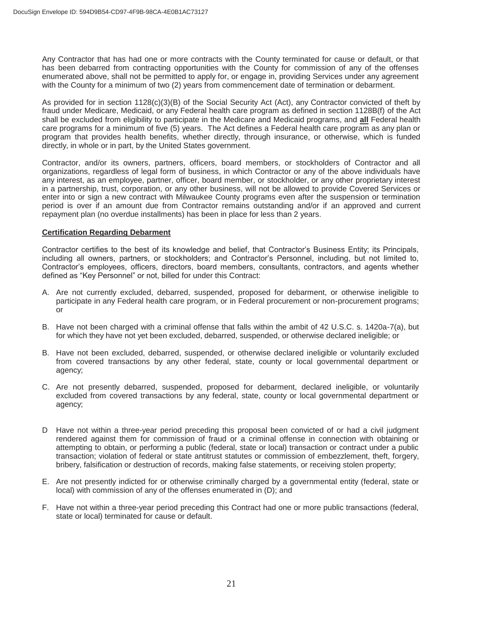Any Contractor that has had one or more contracts with the County terminated for cause or default, or that has been debarred from contracting opportunities with the County for commission of any of the offenses enumerated above, shall not be permitted to apply for, or engage in, providing Services under any agreement with the County for a minimum of two (2) years from commencement date of termination or debarment.

As provided for in section 1128(c)(3)(B) of the Social Security Act (Act), any Contractor convicted of theft by fraud under Medicare, Medicaid, or any Federal health care program as defined in section 1128B(f) of the Act shall be excluded from eligibility to participate in the Medicare and Medicaid programs, and **all** Federal health care programs for a minimum of five (5) years. The Act defines a Federal health care program as any plan or program that provides health benefits, whether directly, through insurance, or otherwise, which is funded directly, in whole or in part, by the United States government.

Contractor, and/or its owners, partners, officers, board members, or stockholders of Contractor and all organizations, regardless of legal form of business, in which Contractor or any of the above individuals have any interest, as an employee, partner, officer, board member, or stockholder, or any other proprietary interest in a partnership, trust, corporation, or any other business, will not be allowed to provide Covered Services or enter into or sign a new contract with Milwaukee County programs even after the suspension or termination period is over if an amount due from Contractor remains outstanding and/or if an approved and current repayment plan (no overdue installments) has been in place for less than 2 years.

#### **Certification Regarding Debarment**

Contractor certifies to the best of its knowledge and belief, that Contractor's Business Entity; its Principals, including all owners, partners, or stockholders; and Contractor's Personnel, including, but not limited to, Contractor's employees, officers, directors, board members, consultants, contractors, and agents whether defined as "Key Personnel" or not, billed for under this Contract:

- A. Are not currently excluded, debarred, suspended, proposed for debarment, or otherwise ineligible to participate in any Federal health care program, or in Federal procurement or non-procurement programs; or
- B. Have not been charged with a criminal offense that falls within the ambit of 42 U.S.C. s. 1420a-7(a), but for which they have not yet been excluded, debarred, suspended, or otherwise declared ineligible; or
- B. Have not been excluded, debarred, suspended, or otherwise declared ineligible or voluntarily excluded from covered transactions by any other federal, state, county or local governmental department or agency;
- C. Are not presently debarred, suspended, proposed for debarment, declared ineligible, or voluntarily excluded from covered transactions by any federal, state, county or local governmental department or agency;
- D Have not within a three-year period preceding this proposal been convicted of or had a civil judgment rendered against them for commission of fraud or a criminal offense in connection with obtaining or attempting to obtain, or performing a public (federal, state or local) transaction or contract under a public transaction; violation of federal or state antitrust statutes or commission of embezzlement, theft, forgery, bribery, falsification or destruction of records, making false statements, or receiving stolen property;
- E. Are not presently indicted for or otherwise criminally charged by a governmental entity (federal, state or local) with commission of any of the offenses enumerated in (D); and
- F. Have not within a three-year period preceding this Contract had one or more public transactions (federal, state or local) terminated for cause or default.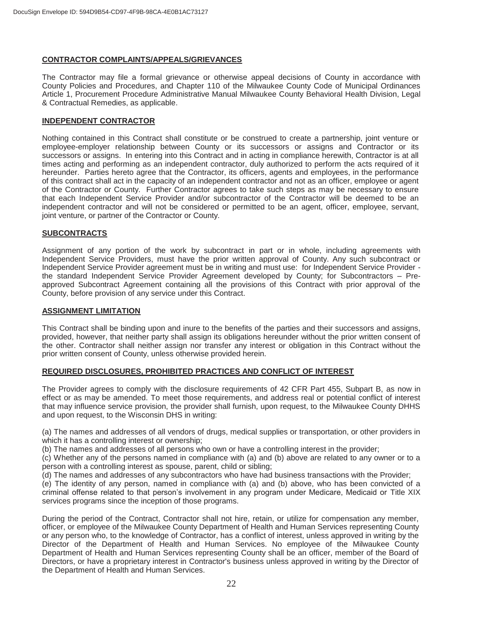#### **CONTRACTOR COMPLAINTS/APPEALS/GRIEVANCES**

The Contractor may file a formal grievance or otherwise appeal decisions of County in accordance with County Policies and Procedures, and Chapter 110 of the Milwaukee County Code of Municipal Ordinances Article 1, Procurement Procedure Administrative Manual Milwaukee County Behavioral Health Division, Legal & Contractual Remedies, as applicable.

#### **INDEPENDENT CONTRACTOR**

Nothing contained in this Contract shall constitute or be construed to create a partnership, joint venture or employee-employer relationship between County or its successors or assigns and Contractor or its successors or assigns. In entering into this Contract and in acting in compliance herewith, Contractor is at all times acting and performing as an independent contractor, duly authorized to perform the acts required of it hereunder. Parties hereto agree that the Contractor, its officers, agents and employees, in the performance of this contract shall act in the capacity of an independent contractor and not as an officer, employee or agent of the Contractor or County. Further Contractor agrees to take such steps as may be necessary to ensure that each Independent Service Provider and/or subcontractor of the Contractor will be deemed to be an independent contractor and will not be considered or permitted to be an agent, officer, employee, servant, joint venture, or partner of the Contractor or County.

#### **SUBCONTRACTS**

Assignment of any portion of the work by subcontract in part or in whole, including agreements with Independent Service Providers, must have the prior written approval of County. Any such subcontract or Independent Service Provider agreement must be in writing and must use: for Independent Service Provider the standard Independent Service Provider Agreement developed by County; for Subcontractors – Preapproved Subcontract Agreement containing all the provisions of this Contract with prior approval of the County, before provision of any service under this Contract.

#### **ASSIGNMENT LIMITATION**

This Contract shall be binding upon and inure to the benefits of the parties and their successors and assigns, provided, however, that neither party shall assign its obligations hereunder without the prior written consent of the other. Contractor shall neither assign nor transfer any interest or obligation in this Contract without the prior written consent of County, unless otherwise provided herein.

#### **REQUIRED DISCLOSURES, PROHIBITED PRACTICES AND CONFLICT OF INTEREST**

The Provider agrees to comply with the disclosure requirements of 42 CFR Part 455, Subpart B, as now in effect or as may be amended. To meet those requirements, and address real or potential conflict of interest that may influence service provision, the provider shall furnish, upon request, to the Milwaukee County DHHS and upon request, to the Wisconsin DHS in writing:

(a) The names and addresses of all vendors of drugs, medical supplies or transportation, or other providers in which it has a controlling interest or ownership;

(b) The names and addresses of all persons who own or have a controlling interest in the provider;

(c) Whether any of the persons named in compliance with (a) and (b) above are related to any owner or to a person with a controlling interest as spouse, parent, child or sibling;

(d) The names and addresses of any subcontractors who have had business transactions with the Provider;

(e) The identity of any person, named in compliance with (a) and (b) above, who has been convicted of a criminal offense related to that person's involvement in any program under Medicare, Medicaid or Title XIX services programs since the inception of those programs.

 During the period of the Contract, Contractor shall not hire, retain, or utilize for compensation any member, officer, or employee of the Milwaukee County Department of Health and Human Services representing County or any person who, to the knowledge of Contractor, has a conflict of interest, unless approved in writing by the Director of the Department of Health and Human Services. No employee of the Milwaukee County Department of Health and Human Services representing County shall be an officer, member of the Board of Directors, or have a proprietary interest in Contractor's business unless approved in writing by the Director of the Department of Health and Human Services.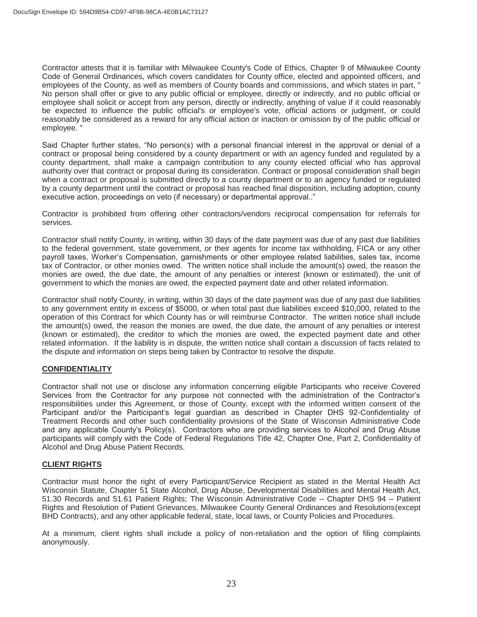Contractor attests that it is familiar with Milwaukee County's Code of Ethics, Chapter 9 of Milwaukee County Code of General Ordinances, which covers candidates for County office, elected and appointed officers, and employees of the County, as well as members of County boards and commissions, and which states in part, " No person shall offer or give to any public official or employee, directly or indirectly, and no public official or employee shall solicit or accept from any person, directly or indirectly, anything of value if it could reasonably be expected to influence the public official's or employee's vote, official actions or judgment, or could reasonably be considered as a reward for any official action or inaction or omission by of the public official or employee. "

Said Chapter further states, "No person(s) with a personal financial interest in the approval or denial of a contract or proposal being considered by a county department or with an agency funded and regulated by a county department, shall make a campaign contribution to any county elected official who has approval authority over that contract or proposal during its consideration. Contract or proposal consideration shall begin when a contract or proposal is submitted directly to a county department or to an agency funded or regulated by a county department until the contract or proposal has reached final disposition, including adoption, county executive action, proceedings on veto (if necessary) or departmental approval.."

Contractor is prohibited from offering other contractors/vendors reciprocal compensation for referrals for services.

Contractor shall notify County, in writing, within 30 days of the date payment was due of any past due liabilities to the federal government, state government, or their agents for income tax withholding, FICA or any other payroll taxes, Worker's Compensation, garnishments or other employee related liabilities, sales tax, income tax of Contractor, or other monies owed. The written notice shall include the amount(s) owed, the reason the monies are owed, the due date, the amount of any penalties or interest (known or estimated), the unit of government to which the monies are owed, the expected payment date and other related information.

Contractor shall notify County, in writing, within 30 days of the date payment was due of any past due liabilities to any government entity in excess of \$5000, or when total past due liabilities exceed \$10,000, related to the operation of this Contract for which County has or will reimburse Contractor. The written notice shall include the amount(s) owed, the reason the monies are owed, the due date, the amount of any penalties or interest (known or estimated), the creditor to which the monies are owed, the expected payment date and other related information. If the liability is in dispute, the written notice shall contain a discussion of facts related to the dispute and information on steps being taken by Contractor to resolve the dispute.

### **CONFIDENTIALITY**

Contractor shall not use or disclose any information concerning eligible Participants who receive Covered Services from the Contractor for any purpose not connected with the administration of the Contractor's responsibilities under this Agreement, or those of County, except with the informed written consent of the Participant and/or the Participant's legal guardian as described in Chapter DHS 92-Confidentiality of Treatment Records and other such confidentiality provisions of the State of Wisconsin Administrative Code and any applicable County's Policy(s). Contractors who are providing services to Alcohol and Drug Abuse participants will comply with the Code of Federal Regulations Title 42, Chapter One, Part 2, Confidentiality of Alcohol and Drug Abuse Patient Records.

### **CLIENT RIGHTS**

Contractor must honor the right of every Participant/Service Recipient as stated in the Mental Health Act Wisconsin Statute, Chapter 51 State Alcohol, Drug Abuse, Developmental Disabilities and Mental Health Act, 51.30 Records and 51.61 Patient Rights; The Wisconsin Administrative Code – Chapter DHS 94 – Patient Rights and Resolution of Patient Grievances, Milwaukee County General Ordinances and Resolutions(except BHD Contracts), and any other applicable federal, state, local laws, or County Policies and Procedures.

At a minimum, client rights shall include a policy of non-retaliation and the option of filing complaints anonymously.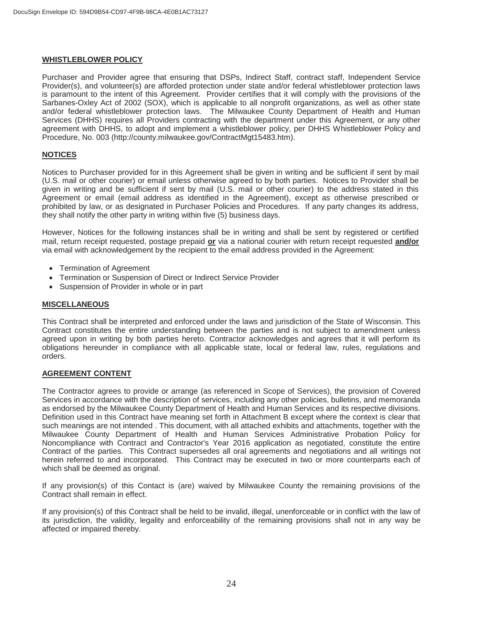#### **WHISTLEBLOWER POLICY**

Purchaser and Provider agree that ensuring that DSPs, Indirect Staff, contract staff, Independent Service Provider(s), and volunteer(s) are afforded protection under state and/or federal whistleblower protection laws is paramount to the intent of this Agreement. Provider certifies that it will comply with the provisions of the Sarbanes-Oxley Act of 2002 (SOX), which is applicable to all nonprofit organizations, as well as other state and/or federal whistleblower protection laws. The Milwaukee County Department of Health and Human Services (DHHS) requires all Providers contracting with the department under this Agreement, or any other agreement with DHHS, to adopt and implement a whistleblower policy, per DHHS Whistleblower Policy and Procedure, No. 003 (http://county.milwaukee.gov/ContractMgt15483.htm).

#### **NOTICES**

Notices to Purchaser provided for in this Agreement shall be given in writing and be sufficient if sent by mail (U.S. mail or other courier) or email unless otherwise agreed to by both parties. Notices to Provider shall be given in writing and be sufficient if sent by mail (U.S. mail or other courier) to the address stated in this Agreement or email (email address as identified in the Agreement), except as otherwise prescribed or prohibited by law, or as designated in Purchaser Policies and Procedures. If any party changes its address, they shall notify the other party in writing within five (5) business days.

However, Notices for the following instances shall be in writing and shall be sent by registered or certified mail, return receipt requested, postage prepaid **or** via a national courier with return receipt requested **and/or** via email with acknowledgement by the recipient to the email address provided in the Agreement:

- Termination of Agreement
- Termination or Suspension of Direct or Indirect Service Provider
- Suspension of Provider in whole or in part

#### **MISCELLANEOUS**

This Contract shall be interpreted and enforced under the laws and jurisdiction of the State of Wisconsin. This Contract constitutes the entire understanding between the parties and is not subject to amendment unless agreed upon in writing by both parties hereto. Contractor acknowledges and agrees that it will perform its obligations hereunder in compliance with all applicable state, local or federal law, rules, regulations and orders.

#### **AGREEMENT CONTENT**

The Contractor agrees to provide or arrange (as referenced in Scope of Services), the provision of Covered Services in accordance with the description of services, including any other policies, bulletins, and memoranda as endorsed by the Milwaukee County Department of Health and Human Services and its respective divisions. Definition used in this Contract have meaning set forth in Attachment B except where the context is clear that such meanings are not intended . This document, with all attached exhibits and attachments, together with the Milwaukee County Department of Health and Human Services Administrative Probation Policy for Noncompliance with Contract and Contractor's Year 2016 application as negotiated, constitute the entire Contract of the parties. This Contract supersedes all oral agreements and negotiations and all writings not herein referred to and incorporated. This Contract may be executed in two or more counterparts each of which shall be deemed as original.

If any provision(s) of this Contact is (are) waived by Milwaukee County the remaining provisions of the Contract shall remain in effect.

If any provision(s) of this Contract shall be held to be invalid, illegal, unenforceable or in conflict with the law of its jurisdiction, the validity, legality and enforceability of the remaining provisions shall not in any way be affected or impaired thereby.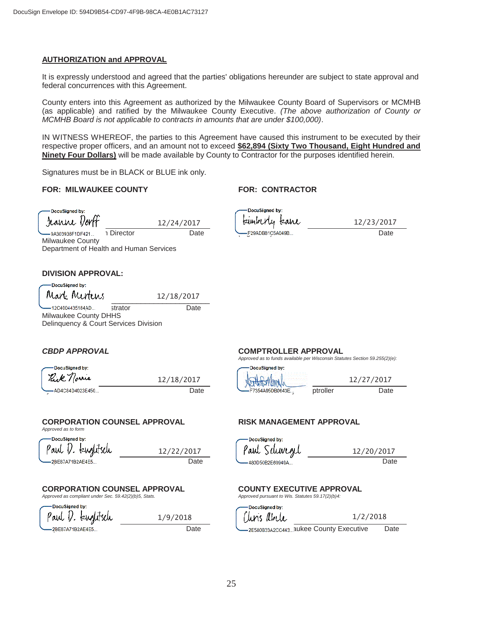#### **AUTHORIZATION and APPROVAL**

It is expressly understood and agreed that the parties' obligations hereunder are subject to state approval and federal concurrences with this Agreement.

County enters into this Agreement as authorized by the Milwaukee County Board of Supervisors or MCMHB (as applicable) and ratified by the Milwaukee County Executive. *(The above authorization of County or MCMHB Board is not applicable to contracts in amounts that are under \$100,000)*.

IN WITNESS WHEREOF, the parties to this Agreement have caused this instrument to be executed by their respective proper officers, and an amount not to exceed **\$62,894 (Sixty Two Thousand, Eight Hundred and Ninety Four Dollars)** will be made available by County to Contractor for the purposes identified herein.

Signatures must be in BLACK or BLUE ink only.

#### **FOR: MILWAUKEE COUNTY FOR: CONTRACTOR**

DocuSianed by: Jeanne Von

Milwaukee County

12/24/2017

DocuSigned by: kimberly kane Jeanne Dorff, Interior Date **Contract Contract Contract Date** Contract Date **Contract Date** Date

12/23/2017

#### **DIVISION APPROVAL:**

L DocuSigned by:  $Mark$  Mertens  $\frac{12/18/2017}{3000}$ 12/18/2017 12C4004435184AD... strator

Milwaukee County DHHS Delinquency & Court Services Division

Department of Health and Human Services

| DocuSigned by:  |            |
|-----------------|------------|
| Rick norme      | 12/18/2017 |
| AD4C84D4023E450 | Date       |

#### **CORPORATION COUNSEL APPROVAL FISK MANAGEMENT APPROVAL**

*Approved as to form* 

| DocuSigned by:    |            |
|-------------------|------------|
| Paul D. kuglitsch | 12/22/2017 |
| ——2BE87A71B2AE4E5 | Date       |

1/9/2018

# **CORPORATION COUNSEL APPROVAL COUNTY EXECUTIVE APPROVAL**<br> *Approved as compliant under Sec. 59.42(2)(b)5. Stats.* Approved pursuant to Wis. Statutes 59.17(2)(b)4:

*Approved as compliant under Sec. 59.42(2)(b)5, Stats.* 

**DocuSianed by:** Paul I. kuglitsch

#### *CBDP APPROVAL* **COMPTROLLER APPROVAL**

*Approved as to funds available per Wisconsin Statutes Section 59.255(2)(e):* 

| - DocuSigned by: |           | DocuSigned by:          |          |      |
|------------------|-----------|-------------------------|----------|------|
| Kik<br>مس        | 2/18/2017 | $\sim$ $N_{\text{max}}$ |          | /201 |
| AD4C84D4023E450  | Date      | F7354A95DB0643E         | ptroller | Date |

DocuSianed by: Paul Schwend

480D50B2E68949A... entertainment Date /2017

DocuSianed by: Turis *l*ibele  $1/2/2018$ 

Corporation Counsel Date Chris Abele, Milwaukee County Executive Date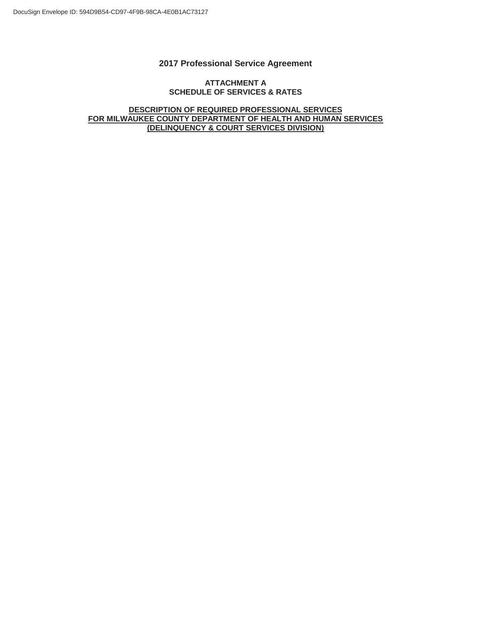### **2017 Professional Service Agreement**

#### **ATTACHMENT A SCHEDULE OF SERVICES & RATES**

#### **DESCRIPTION OF REQUIRED PROFESSIONAL SERVICES FOR MILWAUKEE COUNTY DEPARTMENT OF HEALTH AND HUMAN SERVICES (DELINQUENCY & COURT SERVICES DIVISION)**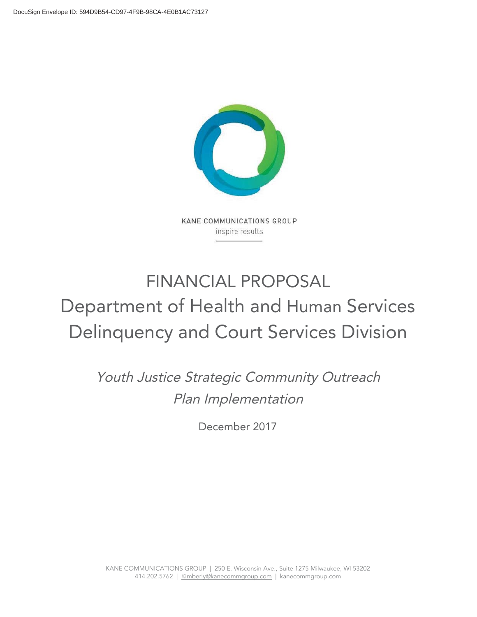

KANE COMMUNICATIONS GROUP inspire results

# FINANCIAL PROPOSAL Department of Health and Human Services Delinquency and Court Services Division

Youth Justice Strategic Community Outreach Plan Implementation

December 2017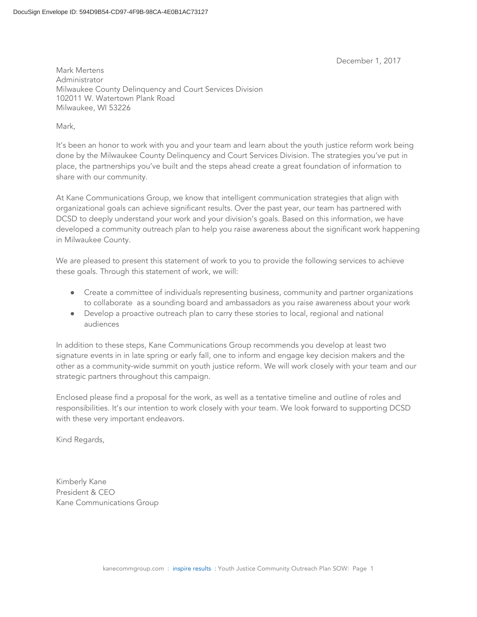December 1, 2017

Mark Mertens Administrator Milwaukee County Delinquency and Court Services Division 102011 W. Watertown Plank Road Milwaukee, WI 53226

Mark,

It's been an honor to work with you and your team and learn about the youth justice reform work being done by the Milwaukee County Delinquency and Court Services Division. The strategies you've put in place, the partnerships you've built and the steps ahead create a great foundation of information to share with our community.

At Kane Communications Group, we know that intelligent communication strategies that align with organizational goals can achieve significant results. Over the past year, our team has partnered with DCSD to deeply understand your work and your division's goals. Based on this information, we have developed a community outreach plan to help you raise awareness about the significant work happening in Milwaukee County.

We are pleased to present this statement of work to you to provide the following services to achieve these goals. Through this statement of work, we will:

- Create a committee of individuals representing business, community and partner organizations to collaborate as a sounding board and ambassadors as you raise awareness about your work
- Develop a proactive outreach plan to carry these stories to local, regional and national audiences

In addition to these steps, Kane Communications Group recommends you develop at least two signature events in in late spring or early fall, one to inform and engage key decision makers and the other as a community-wide summit on youth justice reform. We will work closely with your team and our strategic partners throughout this campaign.

Enclosed please find a proposal for the work, as well as a tentative timeline and outline of roles and responsibilities. It's our intention to work closely with your team. We look forward to supporting DCSD with these very important endeavors.

Kind Regards,

Kimberly Kane President & CEO Kane Communications Group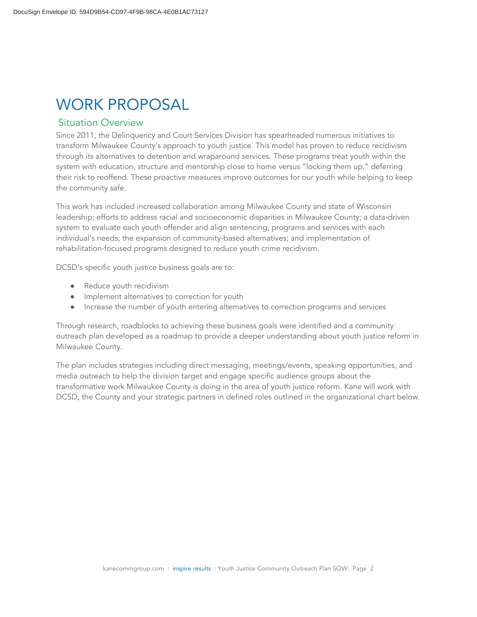# WORK PROPOSAL

### **Situation Overview**

Since 2011, the Delinquency and Court Services Division has spearheaded numerous initiatives to transform Milwaukee County's approach to youth justice. This model has proven to reduce recidivism through its alternatives to detention and wraparound services. These programs treat youth within the system with education, structure and mentorship close to home versus "locking them up," deferring their risk to reoffend. These proactive measures improve outcomes for our youth while helping to keep the community safe.

This work has included increased collaboration among Milwaukee County and state of Wisconsin leadership; efforts to address racial and socioeconomic disparities in Milwaukee County; a data-driven system to evaluate each youth offender and align sentencing, programs and services with each individual's needs; the expansion of community-based alternatives; and implementation of rehabilitation-focused programs designed to reduce youth crime recidivism.

DCSD's specific youth justice business goals are to:

- Reduce youth recidivism
- Implement alternatives to correction for youth
- Increase the number of youth entering alternatives to correction programs and services

Through research, roadblocks to achieving these business goals were identified and a community outreach plan developed as a roadmap to provide a deeper understanding about youth justice reform in Milwaukee County.

The plan includes strategies including direct messaging, meetings/events, speaking opportunities, and media outreach to help the division target and engage specific audience groups about the transformative work Milwaukee County is doing in the area of youth justice reform. Kane will work with DCSD, the County and your strategic partners in defined roles outlined in the organizational chart below.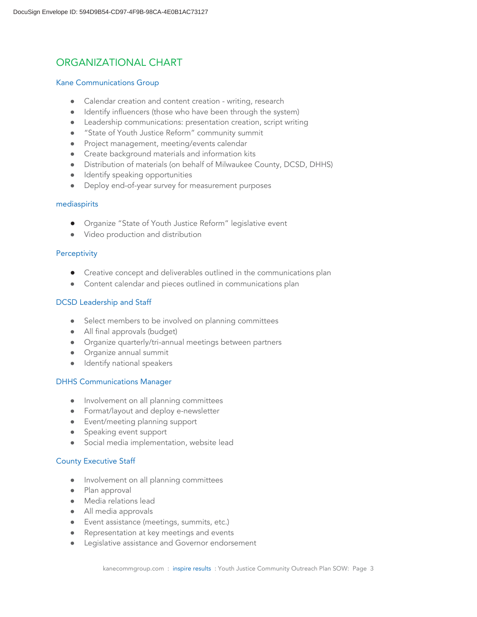# ORGANIZATIONAL CHART

#### Kane Communications Group

- Calendar creation and content creation writing, research
- Identify influencers (those who have been through the system)
- Leadership communications: presentation creation, script writing
- "State of Youth Justice Reform" community summit
- $\bullet$  Project management, meeting/events calendar
- Create background materials and information kits
- Distribution of materials (on behalf of Milwaukee County, DCSD, DHHS)
- Identify speaking opportunities
- Deploy end-of-year survey for measurement purposes

#### mediaspirits

- Organize "State of Youth Justice Reform" legislative event
- Video production and distribution

### **Perceptivity**

- Creative concept and deliverables outlined in the communications plan
- Content calendar and pieces outlined in communications plan

### DCSD Leadership and Staff

- Select members to be involved on planning committees
- All final approvals (budget)
- Organize quarterly/tri-annual meetings between partners
- $\bullet$  Organize annual summit
- Identify national speakers

### DHHS Communications Manager

- Involvement on all planning committees
- Format/layout and deploy e-newsletter
- Event/meeting planning support
- Speaking event support
- Social media implementation, website lead

### County Executive Staff

- Involvement on all planning committees
- Plan approval
- Media relations lead
- All media approvals
- Event assistance (meetings, summits, etc.)
- Representation at key meetings and events
- Legislative assistance and Governor endorsement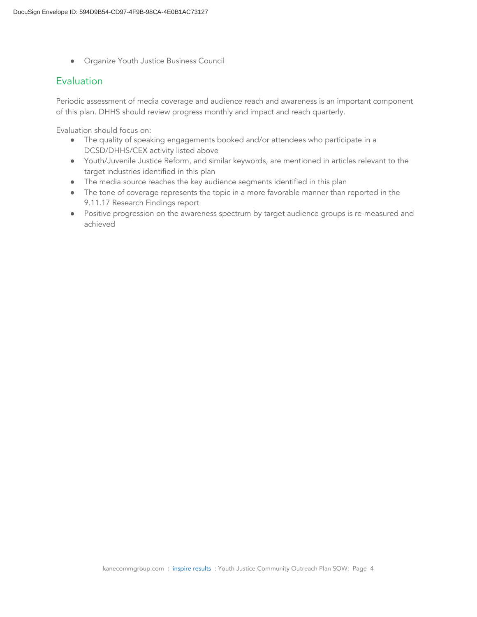● Organize Youth Justice Business Council

### **Evaluation**

Periodic assessment of media coverage and audience reach and awareness is an important component of this plan. DHHS should review progress monthly and impact and reach quarterly.

Evaluation should focus on:

- The quality of speaking engagements booked and/or attendees who participate in a DCSD/DHHS/CEX activity listed above
- Youth/Juvenile Justice Reform, and similar keywords, are mentioned in articles relevant to the target industries identified in this plan
- The media source reaches the key audience segments identified in this plan
- The tone of coverage represents the topic in a more favorable manner than reported in the 9.11.17 Research Findings report
- Positive progression on the awareness spectrum by target audience groups is re-measured and achieved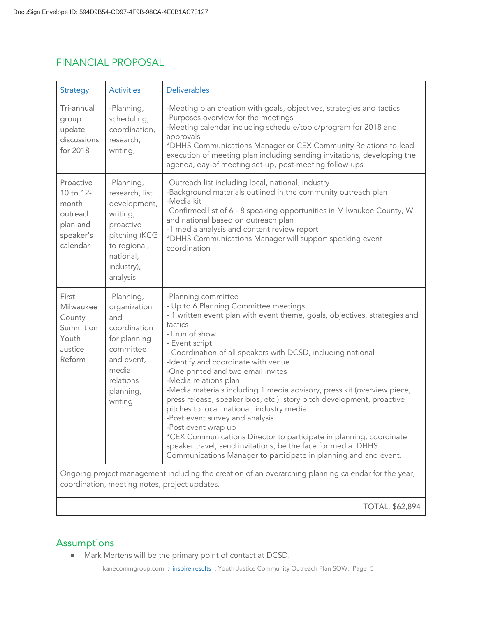# FINANCIAL PROPOSAL

| <b>Strategy</b>                                                                  | <b>Activities</b>                                                                                                                             | <b>Deliverables</b>                                                                                                                                                                                                                                                                                                                                                                                                                                                                                                                                                                                                                                                                                                                                                                                                                      |
|----------------------------------------------------------------------------------|-----------------------------------------------------------------------------------------------------------------------------------------------|------------------------------------------------------------------------------------------------------------------------------------------------------------------------------------------------------------------------------------------------------------------------------------------------------------------------------------------------------------------------------------------------------------------------------------------------------------------------------------------------------------------------------------------------------------------------------------------------------------------------------------------------------------------------------------------------------------------------------------------------------------------------------------------------------------------------------------------|
| Tri-annual<br>group<br>update<br>discussions<br>for 2018                         | -Planning,<br>scheduling,<br>coordination,<br>research,<br>writing,                                                                           | -Meeting plan creation with goals, objectives, strategies and tactics<br>-Purposes overview for the meetings<br>-Meeting calendar including schedule/topic/program for 2018 and<br>approvals<br>*DHHS Communications Manager or CEX Community Relations to lead<br>execution of meeting plan including sending invitations, developing the<br>agenda, day-of meeting set-up, post-meeting follow-ups                                                                                                                                                                                                                                                                                                                                                                                                                                     |
| Proactive<br>10 to 12-<br>month<br>outreach<br>plan and<br>speaker's<br>calendar | -Planning,<br>research, list<br>development,<br>writing,<br>proactive<br>pitching (KCG<br>to regional,<br>national,<br>industry),<br>analysis | -Outreach list including local, national, industry<br>-Background materials outlined in the community outreach plan<br>-Media kit<br>-Confirmed list of 6 - 8 speaking opportunities in Milwaukee County, WI<br>and national based on outreach plan<br>-1 media analysis and content review report<br>*DHHS Communications Manager will support speaking event<br>coordination                                                                                                                                                                                                                                                                                                                                                                                                                                                           |
| First<br>Milwaukee<br>County<br>Summit on<br>Youth<br>Justice<br>Reform          | -Planning,<br>organization<br>and<br>coordination<br>for planning<br>committee<br>and event,<br>media<br>relations<br>planning,<br>writing    | -Planning committee<br>- Up to 6 Planning Committee meetings<br>- 1 written event plan with event theme, goals, objectives, strategies and<br>tactics<br>-1 run of show<br>- Event script<br>- Coordination of all speakers with DCSD, including national<br>-Identify and coordinate with venue<br>-One printed and two email invites<br>-Media relations plan<br>-Media materials including 1 media advisory, press kit (overview piece,<br>press release, speaker bios, etc.), story pitch development, proactive<br>pitches to local, national, industry media<br>-Post event survey and analysis<br>-Post event wrap up<br>*CEX Communications Director to participate in planning, coordinate<br>speaker travel, send invitations, be the face for media. DHHS<br>Communications Manager to participate in planning and and event. |
|                                                                                  |                                                                                                                                               | Ongoing project management including the creation of an overarching planning calendar for the year,<br>coordination, meeting notes, project updates.                                                                                                                                                                                                                                                                                                                                                                                                                                                                                                                                                                                                                                                                                     |
|                                                                                  |                                                                                                                                               | <b>TOTAL: \$62,894</b>                                                                                                                                                                                                                                                                                                                                                                                                                                                                                                                                                                                                                                                                                                                                                                                                                   |

# Assumptions

● Mark Mertens will be the primary point of contact at DCSD.

kanecommgroup.com : inspire results : Youth Justice Community Outreach Plan SOW: Page 5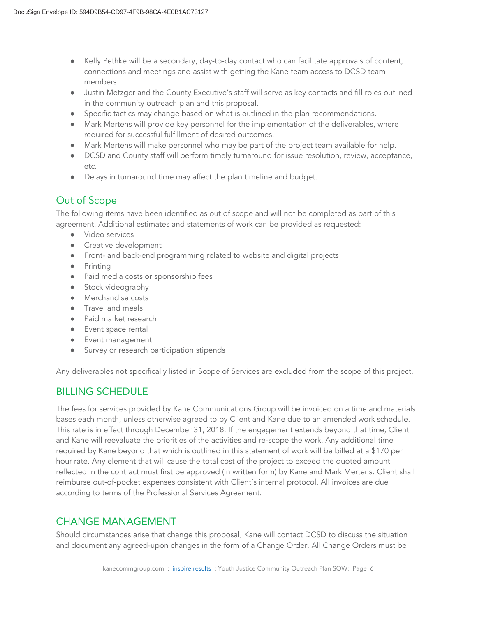- Kelly Pethke will be a secondary, day-to-day contact who can facilitate approvals of content, connections and meetings and assist with getting the Kane team access to DCSD team members.
- Justin Metzger and the County Executive's staff will serve as key contacts and fill roles outlined in the community outreach plan and this proposal.
- Specific tactics may change based on what is outlined in the plan recommendations.
- Mark Mertens will provide key personnel for the implementation of the deliverables, where required for successful fulfillment of desired outcomes.
- Mark Mertens will make personnel who may be part of the project team available for help.
- DCSD and County staff will perform timely turnaround for issue resolution, review, acceptance, etc.
- Delays in turnaround time may affect the plan timeline and budget.

# Out of Scope

The following items have been identified as out of scope and will not be completed as part of this agreement. Additional estimates and statements of work can be provided as requested:

- Video services
- Creative development
- Front- and back-end programming related to website and digital projects
- Printing
- Paid media costs or sponsorship fees
- Stock videography
- Merchandise costs
- Travel and meals
- Paid market research
- Event space rental
- Event management
- Survey or research participation stipends

Any deliverables not specifically listed in Scope of Services are excluded from the scope of this project.

## BILLING SCHEDULEbb

The fees for services provided by Kane Communications Group will be invoiced on a time and materials bases each month, unless otherwise agreed to by Client and Kane due to an amended work schedule. This rate is in effect through December 31, 2018. If the engagement extends beyond that time, Client and Kane will reevaluate the priorities of the activities and re-scope the work. Any additional time required by Kane beyond that which is outlined in this statement of work will be billed at a \$170 per hour rate. Any element that will cause the total cost of the project to exceed the quoted amount reflected in the contract must first be approved (in written form) by Kane and Mark Mertens. Client shall reimburse out-of-pocket expenses consistent with Client's internal protocol. All invoices are due according to terms of the Professional Services Agreement.

## CHANGE MANAGEMENT

Should circumstances arise that change this proposal, Kane will contact DCSD to discuss the situation and document any agreed-upon changes in the form of a Change Order. All Change Orders must be